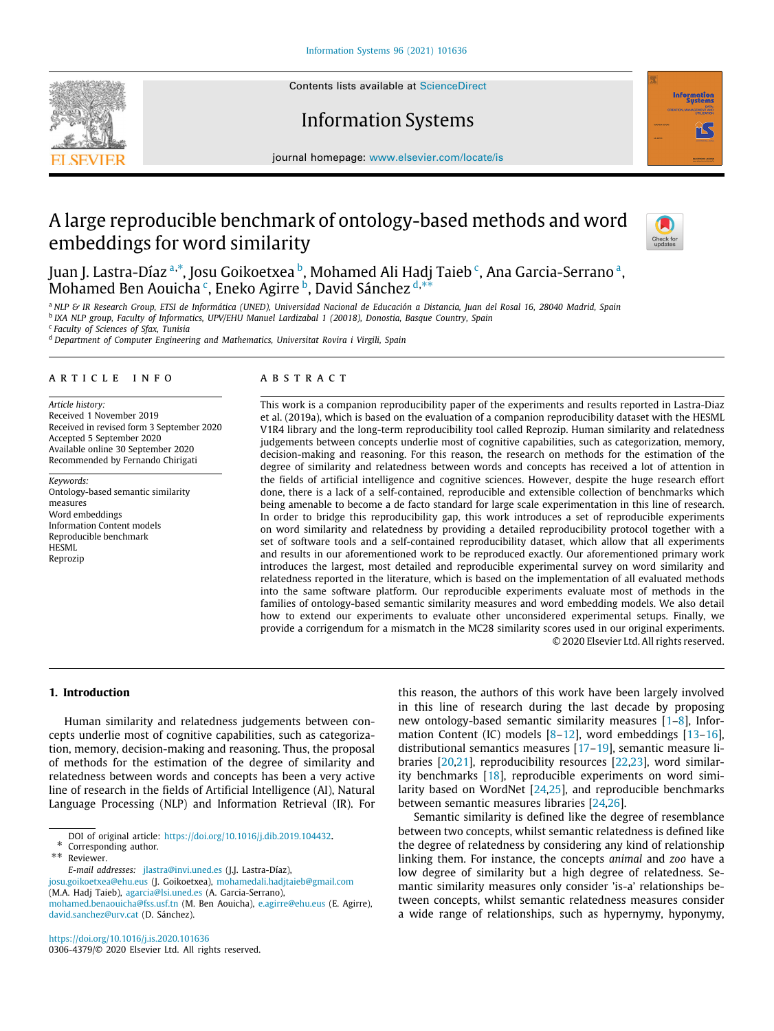Contents lists available at [ScienceDirect](http://www.elsevier.com/locate/is)

# Information Systems

journal homepage: [www.elsevier.com/locate/is](http://www.elsevier.com/locate/is)

# A large reproducible benchmark of ontology-based methods and word embeddings for word similarity



**Information** 

Ju[a](#page-0-0)n J. Lastra-Díaz <sup>a,[∗](#page-0-1)</sup>, Josu Goikoetxea <sup>[b](#page-0-2)</sup>, Mohamed Ali Hadj Taieb <sup>[c](#page-0-3)</sup>, Ana Garcia-Serrano ª, , an[d](#page-0-4) *y* an our a [c](#page-0-3)ompared [b](#page-0-2)y the control of the second state of the Mohamed Ben Aouicha<sup>c</sup>, Eneko Agirre <sup>b</sup>, David Sánchez <sup>d,[∗∗](#page-0-5)</sup>

<span id="page-0-0"></span><sup>a</sup> *NLP & IR Research Group, ETSI de Informática (UNED), Universidad Nacional de Educación a Distancia, Juan del Rosal 16, 28040 Madrid, Spain* b *IXA NLP group, Faculty of Informatics, UPV/EHU Manuel Lardizabal 1 (20018), Donostia, Basque Country, Spain*

<span id="page-0-3"></span><span id="page-0-2"></span>c *Faculty of Sciences of Sfax, Tunisia*

<span id="page-0-4"></span><sup>d</sup> *Department of Computer Engineering and Mathematics, Universitat Rovira i Virgili, Spain*

#### a r t i c l e i n f o

*Article history:* Received 1 November 2019 Received in revised form 3 September 2020 Accepted 5 September 2020 Available online 30 September 2020 Recommended by Fernando Chirigati

*Keywords:* Ontology-based semantic similarity measures Word embeddings Information Content models Reproducible benchmark **HESML** Reprozip

#### A B S T R A C T

This work is a companion reproducibility paper of the experiments and results reported in Lastra-Diaz et al. (2019a), which is based on the evaluation of a companion reproducibility dataset with the HESML V1R4 library and the long-term reproducibility tool called Reprozip. Human similarity and relatedness judgements between concepts underlie most of cognitive capabilities, such as categorization, memory, decision-making and reasoning. For this reason, the research on methods for the estimation of the degree of similarity and relatedness between words and concepts has received a lot of attention in the fields of artificial intelligence and cognitive sciences. However, despite the huge research effort done, there is a lack of a self-contained, reproducible and extensible collection of benchmarks which being amenable to become a de facto standard for large scale experimentation in this line of research. In order to bridge this reproducibility gap, this work introduces a set of reproducible experiments on word similarity and relatedness by providing a detailed reproducibility protocol together with a set of software tools and a self-contained reproducibility dataset, which allow that all experiments and results in our aforementioned work to be reproduced exactly. Our aforementioned primary work introduces the largest, most detailed and reproducible experimental survey on word similarity and relatedness reported in the literature, which is based on the implementation of all evaluated methods into the same software platform. Our reproducible experiments evaluate most of methods in the families of ontology-based semantic similarity measures and word embedding models. We also detail how to extend our experiments to evaluate other unconsidered experimental setups. Finally, we provide a corrigendum for a mismatch in the MC28 similarity scores used in our original experiments. © 2020 Elsevier Ltd. All rights reserved.

#### **1. Introduction**

Human similarity and relatedness judgements between concepts underlie most of cognitive capabilities, such as categorization, memory, decision-making and reasoning. Thus, the proposal of methods for the estimation of the degree of similarity and relatedness between words and concepts has been a very active line of research in the fields of Artificial Intelligence (AI), Natural Language Processing (NLP) and Information Retrieval (IR). For

*E-mail addresses:* [jlastra@invi.uned.es](mailto:jlastra@invi.uned.es) (J.J. Lastra-Díaz),

[josu.goikoetxea@ehu.eus](mailto:josu.goikoetxea@ehu.eus) (J. Goikoetxea), [mohamedali.hadjtaieb@gmail.com](mailto:mohamedali.hadjtaieb@gmail.com) (M.A. Hadj Taieb), [agarcia@lsi.uned.es](mailto:agarcia@lsi.uned.es) (A. Garcia-Serrano),

[mohamed.benaouicha@fss.usf.tn](mailto:mohamed.benaouicha@fss.usf.tn) (M. Ben Aouicha), [e.agirre@ehu.eus](mailto:e.agirre@ehu.eus) (E. Agirre), [david.sanchez@urv.cat](mailto:david.sanchez@urv.cat) (D. Sánchez).

this reason, the authors of this work have been largely involved in this line of research during the last decade by proposing new ontology-based semantic similarity measures [[1](#page-15-0)[–8\]](#page-15-1), Information Content (IC) models [[8](#page-15-1)[–12\]](#page-15-2), word embeddings [[13](#page-15-3)[–16\]](#page-15-4), distributional semantics measures [[17](#page-15-5)[–19\]](#page-15-6), semantic measure libraries [[20](#page-15-7)[,21\]](#page-15-8), reproducibility resources [[22,](#page-15-9)[23](#page-15-10)], word similarity benchmarks [\[18\]](#page-15-11), reproducible experiments on word similarity based on WordNet [\[24,](#page-15-12)[25](#page-15-13)], and reproducible benchmarks between semantic measures libraries [\[24,](#page-15-12)[26](#page-15-14)].

Semantic similarity is defined like the degree of resemblance between two concepts, whilst semantic relatedness is defined like the degree of relatedness by considering any kind of relationship linking them. For instance, the concepts *animal* and *zoo* have a low degree of similarity but a high degree of relatedness. Semantic similarity measures only consider 'is-a' relationships between concepts, whilst semantic relatedness measures consider a wide range of relationships, such as hypernymy, hyponymy,



DOI of original article: <https://doi.org/10.1016/j.dib.2019.104432>.

<sup>∗</sup> Corresponding author.

<span id="page-0-5"></span><span id="page-0-1"></span><sup>∗∗</sup> Reviewer.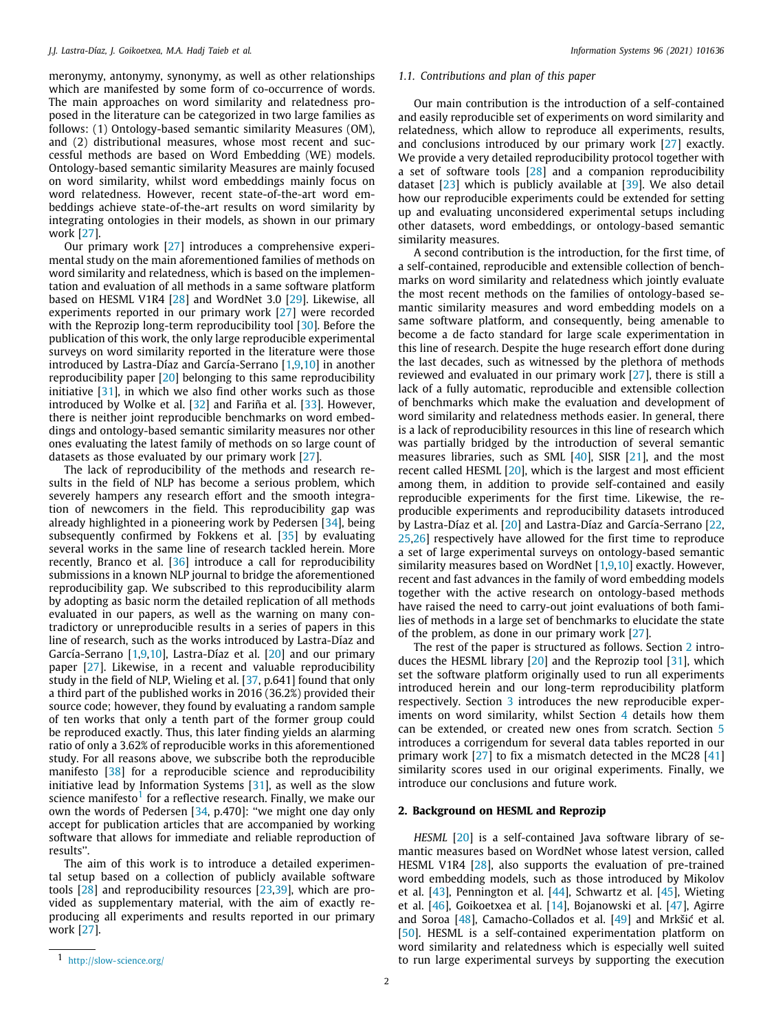meronymy, antonymy, synonymy, as well as other relationships which are manifested by some form of co-occurrence of words. The main approaches on word similarity and relatedness proposed in the literature can be categorized in two large families as follows: (1) Ontology-based semantic similarity Measures (OM), and (2) distributional measures, whose most recent and successful methods are based on Word Embedding (WE) models. Ontology-based semantic similarity Measures are mainly focused on word similarity, whilst word embeddings mainly focus on word relatedness. However, recent state-of-the-art word embeddings achieve state-of-the-art results on word similarity by integrating ontologies in their models, as shown in our primary work [\[27\]](#page-15-15).

Our primary work [\[27\]](#page-15-15) introduces a comprehensive experimental study on the main aforementioned families of methods on word similarity and relatedness, which is based on the implementation and evaluation of all methods in a same software platform based on HESML V1R4 [\[28\]](#page-15-16) and WordNet 3.0 [\[29\]](#page-15-17). Likewise, all experiments reported in our primary work [\[27\]](#page-15-15) were recorded with the Reprozip long-term reproducibility tool [[30](#page-15-18)]. Before the publication of this work, the only large reproducible experimental surveys on word similarity reported in the literature were those introduced by Lastra-Díaz and García-Serrano [[1,](#page-15-0)[9](#page-15-19)[,10\]](#page-15-20) in another reproducibility paper [\[20\]](#page-15-7) belonging to this same reproducibility initiative [\[31\]](#page-15-21), in which we also find other works such as those introduced by Wolke et al. [[32](#page-15-22)] and Fariña et al. [\[33\]](#page-15-23). However, there is neither joint reproducible benchmarks on word embeddings and ontology-based semantic similarity measures nor other ones evaluating the latest family of methods on so large count of datasets as those evaluated by our primary work [\[27\]](#page-15-15).

The lack of reproducibility of the methods and research results in the field of NLP has become a serious problem, which severely hampers any research effort and the smooth integration of newcomers in the field. This reproducibility gap was already highlighted in a pioneering work by Pedersen [\[34](#page-15-24)], being subsequently confirmed by Fokkens et al. [[35\]](#page-15-25) by evaluating several works in the same line of research tackled herein. More recently, Branco et al. [[36\]](#page-15-26) introduce a call for reproducibility submissions in a known NLP journal to bridge the aforementioned reproducibility gap. We subscribed to this reproducibility alarm by adopting as basic norm the detailed replication of all methods evaluated in our papers, as well as the warning on many contradictory or unreproducible results in a series of papers in this line of research, such as the works introduced by Lastra-Díaz and García-Serrano [[1](#page-15-0)[,9](#page-15-19)[,10\]](#page-15-20), Lastra-Díaz et al. [[20](#page-15-7)] and our primary paper [\[27\]](#page-15-15). Likewise, in a recent and valuable reproducibility study in the field of NLP, Wieling et al. [\[37,](#page-15-27) p.641] found that only a third part of the published works in 2016 (36.2%) provided their source code; however, they found by evaluating a random sample of ten works that only a tenth part of the former group could be reproduced exactly. Thus, this later finding yields an alarming ratio of only a 3.62% of reproducible works in this aforementioned study. For all reasons above, we subscribe both the reproducible manifesto [[38](#page-15-28)] for a reproducible science and reproducibility initiative lead by Information Systems [\[31\]](#page-15-21), as well as the slow science manifesto $^1$  $^1$  for a reflective research. Finally, we make our own the words of Pedersen [\[34,](#page-15-24) p.470]: "we might one day only accept for publication articles that are accompanied by working software that allows for immediate and reliable reproduction of results''.

<span id="page-1-0"></span>The aim of this work is to introduce a detailed experimental setup based on a collection of publicly available software tools [[28](#page-15-16)] and reproducibility resources [\[23,](#page-15-10)[39](#page-15-29)], which are provided as supplementary material, with the aim of exactly reproducing all experiments and results reported in our primary work [\[27\]](#page-15-15).

# *1.1. Contributions and plan of this paper*

Our main contribution is the introduction of a self-contained and easily reproducible set of experiments on word similarity and relatedness, which allow to reproduce all experiments, results, and conclusions introduced by our primary work [[27](#page-15-15)] exactly. We provide a very detailed reproducibility protocol together with a set of software tools [[28\]](#page-15-16) and a companion reproducibility dataset [\[23\]](#page-15-10) which is publicly available at [[39](#page-15-29)]. We also detail how our reproducible experiments could be extended for setting up and evaluating unconsidered experimental setups including other datasets, word embeddings, or ontology-based semantic similarity measures.

A second contribution is the introduction, for the first time, of a self-contained, reproducible and extensible collection of benchmarks on word similarity and relatedness which jointly evaluate the most recent methods on the families of ontology-based semantic similarity measures and word embedding models on a same software platform, and consequently, being amenable to become a de facto standard for large scale experimentation in this line of research. Despite the huge research effort done during the last decades, such as witnessed by the plethora of methods reviewed and evaluated in our primary work [\[27\]](#page-15-15), there is still a lack of a fully automatic, reproducible and extensible collection of benchmarks which make the evaluation and development of word similarity and relatedness methods easier. In general, there is a lack of reproducibility resources in this line of research which was partially bridged by the introduction of several semantic measures libraries, such as SML [\[40\]](#page-15-30), SISR [[21](#page-15-8)], and the most recent called HESML [\[20](#page-15-7)], which is the largest and most efficient among them, in addition to provide self-contained and easily reproducible experiments for the first time. Likewise, the reproducible experiments and reproducibility datasets introduced by Lastra-Díaz et al. [[20](#page-15-7)] and Lastra-Díaz and García-Serrano [\[22,](#page-15-9) [25](#page-15-13)[,26\]](#page-15-14) respectively have allowed for the first time to reproduce a set of large experimental surveys on ontology-based semantic similarity measures based on WordNet [\[1,](#page-15-0)[9,](#page-15-19)[10](#page-15-20)] exactly. However, recent and fast advances in the family of word embedding models together with the active research on ontology-based methods have raised the need to carry-out joint evaluations of both families of methods in a large set of benchmarks to elucidate the state of the problem, as done in our primary work [[27](#page-15-15)].

The rest of the paper is structured as follows. Section [2](#page-1-1) introduces the HESML library [\[20\]](#page-15-7) and the Reprozip tool [\[31\]](#page-15-21), which set the software platform originally used to run all experiments introduced herein and our long-term reproducibility platform respectively. Section [3](#page-2-0) introduces the new reproducible experiments on word similarity, whilst Section [4](#page-8-0) details how them can be extended, or created new ones from scratch. Section [5](#page-10-0) introduces a corrigendum for several data tables reported in our primary work [\[27\]](#page-15-15) to fix a mismatch detected in the MC28 [\[41\]](#page-15-31) similarity scores used in our original experiments. Finally, we introduce our conclusions and future work.

# **2. Background on HESML and Reprozip**

<span id="page-1-1"></span>*HESML* [[20](#page-15-7)] is a self-contained Java software library of semantic measures based on WordNet whose latest version, called HESML V1R4 [\[28\]](#page-15-16), also supports the evaluation of pre-trained word embedding models, such as those introduced by Mikolov et al. [\[43\]](#page-15-32), Pennington et al. [\[44\]](#page-15-33), Schwartz et al. [[45\]](#page-15-34), Wieting et al. [[46](#page-16-0)], Goikoetxea et al. [[14](#page-15-35)], Bojanowski et al. [[47\]](#page-16-1), Agirre and Soroa [\[48\]](#page-16-2), Camacho-Collados et al. [\[49\]](#page-16-3) and Mrkšić et al. [[50](#page-16-4)]. HESML is a self-contained experimentation platform on word similarity and relatedness which is especially well suited to run large experimental surveys by supporting the execution

<sup>1</sup> <http://slow-science.org/>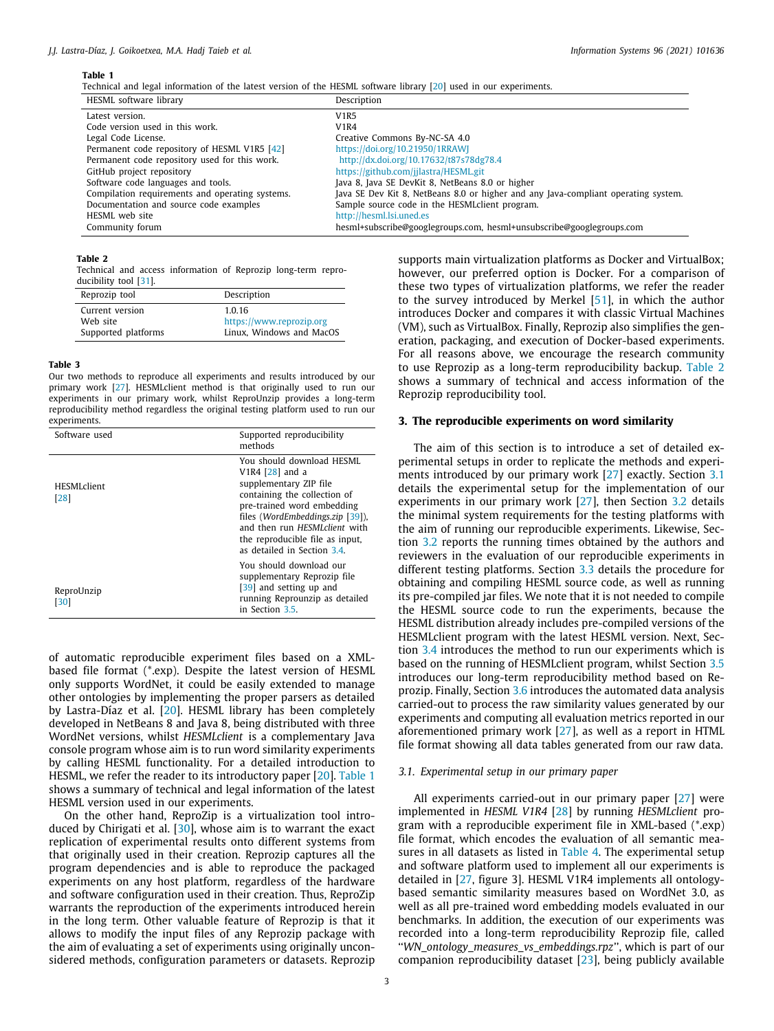<span id="page-2-1"></span>Technical and legal information of the latest version of the HESML software library [\[20\]](#page-15-7) used in our experiments.

| HESML software library                          | Description                                                                        |
|-------------------------------------------------|------------------------------------------------------------------------------------|
| Latest version.                                 | <b>V1R5</b>                                                                        |
| Code version used in this work.                 | <b>V1R4</b>                                                                        |
| Legal Code License.                             | Creative Commons By-NC-SA 4.0                                                      |
| Permanent code repository of HESML V1R5 [42]    | https://doi.org/10.21950/1RRAWJ                                                    |
| Permanent code repository used for this work.   | http://dx.doi.org/10.17632/t87s78dg78.4                                            |
| GitHub project repository                       | https://github.com/jjlastra/HESML.git                                              |
| Software code languages and tools.              | Java 8, Java SE DevKit 8, NetBeans 8.0 or higher                                   |
| Compilation requirements and operating systems. | Java SE Dev Kit 8, NetBeans 8.0 or higher and any Java-compliant operating system. |
| Documentation and source code examples          | Sample source code in the HESML client program.                                    |
| HESML web site                                  | http://hesml.lsi.uned.es                                                           |
| Community forum                                 | hesml+subscribe@googlegroups.com, hesml+unsubscribe@googlegroups.com               |

#### **Table 2**

<span id="page-2-2"></span>Technical and access information of Reprozip long-term reproducibility tool [\[31\]](#page-15-21).

| Description              |
|--------------------------|
| 1.0.16                   |
| https://www.reprozip.org |
| Linux, Windows and MacOS |
|                          |

# **Table 3**

Our two methods to reproduce all experiments and results introduced by our primary work [[27](#page-15-15)]. HESMLclient method is that originally used to run our experiments in our primary work, whilst ReproUnzip provides a long-term reproducibility method regardless the original testing platform used to run our experiments.

<span id="page-2-4"></span>

| Software used               | Supported reproducibility<br>methods                                                                                                                                                                                                                                                       |
|-----------------------------|--------------------------------------------------------------------------------------------------------------------------------------------------------------------------------------------------------------------------------------------------------------------------------------------|
| <b>HESML</b> client<br>[28] | You should download HESML<br>V <sub>1</sub> R4 $[28]$ and a<br>supplementary ZIP file<br>containing the collection of<br>pre-trained word embedding<br>files (WordEmbeddings.zip [39]),<br>and then run HESML client with<br>the reproducible file as input,<br>as detailed in Section 3.4 |
| ReproUnzip<br>[30]          | You should download our<br>supplementary Reprozip file<br>[39] and setting up and<br>running Reprounzip as detailed<br>in Section 3.5.                                                                                                                                                     |

of automatic reproducible experiment files based on a XMLbased file format (\*.exp). Despite the latest version of HESML only supports WordNet, it could be easily extended to manage other ontologies by implementing the proper parsers as detailed by Lastra-Díaz et al. [\[20\]](#page-15-7). HESML library has been completely developed in NetBeans 8 and Java 8, being distributed with three WordNet versions, whilst *HESMLclient* is a complementary Java console program whose aim is to run word similarity experiments by calling HESML functionality. For a detailed introduction to HESML, we refer the reader to its introductory paper [\[20\]](#page-15-7). [Table](#page-2-1) [1](#page-2-1) shows a summary of technical and legal information of the latest HESML version used in our experiments.

On the other hand, ReproZip is a virtualization tool introduced by Chirigati et al. [[30](#page-15-18)], whose aim is to warrant the exact replication of experimental results onto different systems from that originally used in their creation. Reprozip captures all the program dependencies and is able to reproduce the packaged experiments on any host platform, regardless of the hardware and software configuration used in their creation. Thus, ReproZip warrants the reproduction of the experiments introduced herein in the long term. Other valuable feature of Reprozip is that it allows to modify the input files of any Reprozip package with the aim of evaluating a set of experiments using originally unconsidered methods, configuration parameters or datasets. Reprozip

supports main virtualization platforms as Docker and VirtualBox; however, our preferred option is Docker. For a comparison of these two types of virtualization platforms, we refer the reader to the survey introduced by Merkel [[51](#page-16-5)], in which the author introduces Docker and compares it with classic Virtual Machines (VM), such as VirtualBox. Finally, Reprozip also simplifies the generation, packaging, and execution of Docker-based experiments. For all reasons above, we encourage the research community to use Reprozip as a long-term reproducibility backup. [Table](#page-2-2) [2](#page-2-2) shows a summary of technical and access information of the Reprozip reproducibility tool.

#### **3. The reproducible experiments on word similarity**

<span id="page-2-0"></span>The aim of this section is to introduce a set of detailed experimental setups in order to replicate the methods and experiments introduced by our primary work [[27\]](#page-15-15) exactly. Section [3.1](#page-2-3) details the experimental setup for the implementation of our experiments in our primary work [[27](#page-15-15)], then Section [3.2](#page-4-0) details the minimal system requirements for the testing platforms with the aim of running our reproducible experiments. Likewise, Section [3.2](#page-4-0) reports the running times obtained by the authors and reviewers in the evaluation of our reproducible experiments in different testing platforms. Section [3.3](#page-4-1) details the procedure for obtaining and compiling HESML source code, as well as running its pre-compiled jar files. We note that it is not needed to compile the HESML source code to run the experiments, because the HESML distribution already includes pre-compiled versions of the HESMLclient program with the latest HESML version. Next, Section [3.4](#page-6-0) introduces the method to run our experiments which is based on the running of HESMLclient program, whilst Section [3.5](#page-6-1) introduces our long-term reproducibility method based on Reprozip. Finally, Section [3.6](#page-7-0) introduces the automated data analysis carried-out to process the raw similarity values generated by our experiments and computing all evaluation metrics reported in our aforementioned primary work [[27](#page-15-15)], as well as a report in HTML file format showing all data tables generated from our raw data.

## *3.1. Experimental setup in our primary paper*

<span id="page-2-3"></span>All experiments carried-out in our primary paper [\[27\]](#page-15-15) were implemented in *HESML V1R4* [[28](#page-15-16)] by running *HESMLclient* program with a reproducible experiment file in XML-based (\*.exp) file format, which encodes the evaluation of all semantic measures in all datasets as listed in [Table](#page-4-2) [4.](#page-4-2) The experimental setup and software platform used to implement all our experiments is detailed in [[27](#page-15-15), figure 3]. HESML V1R4 implements all ontologybased semantic similarity measures based on WordNet 3.0, as well as all pre-trained word embedding models evaluated in our benchmarks. In addition, the execution of our experiments was recorded into a long-term reproducibility Reprozip file, called ''*WN\_ontology\_measures\_vs\_embeddings.rpz*'', which is part of our companion reproducibility dataset [\[23\]](#page-15-10), being publicly available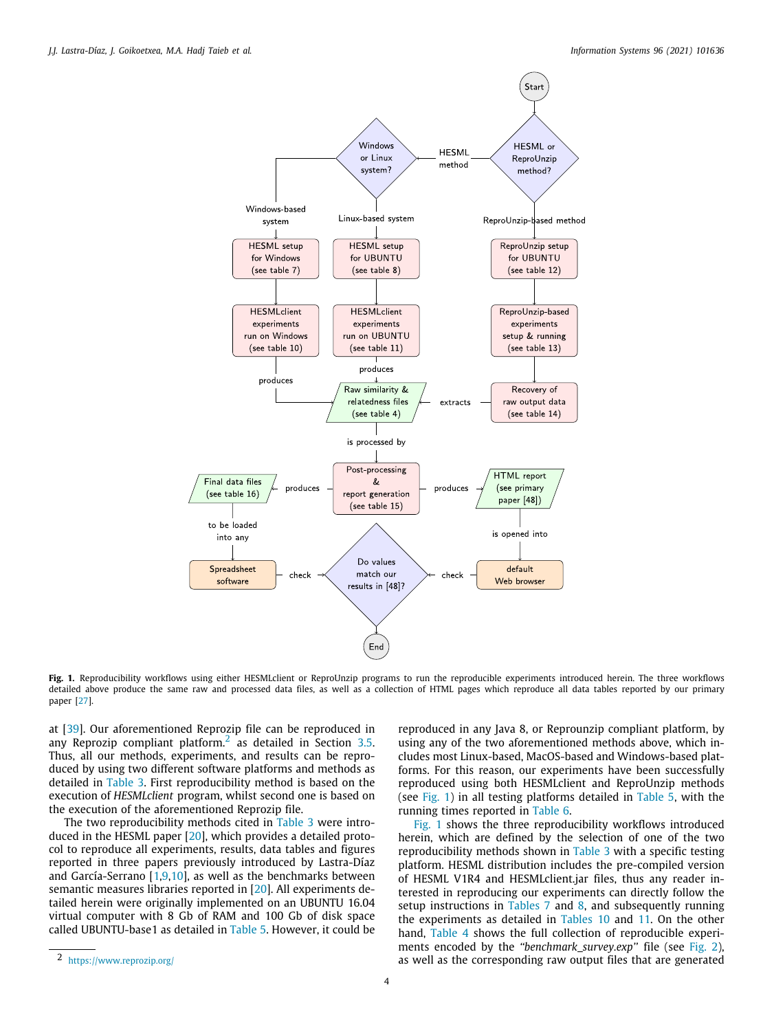

<span id="page-3-1"></span>**Fig. 1.** Reproducibility workflows using either HESMLclient or ReproUnzip programs to run the reproducible experiments introduced herein. The three workflows detailed above produce the same raw and processed data files, as well as a collection of HTML pages which reproduce all data tables reported by our primary paper [\[27](#page-15-15)].

at [\[39\]](#page-15-29). Our aforementioned Reprozip file can be reproduced in any Reprozip compliant platform.<sup>[2](#page-3-0)</sup> as detailed in Section [3.5.](#page-6-1) Thus, all our methods, experiments, and results can be reproduced by using two different software platforms and methods as detailed in [Table](#page-2-4) [3.](#page-2-4) First reproducibility method is based on the execution of *HESMLclient* program, whilst second one is based on the execution of the aforementioned Reprozip file.

The two reproducibility methods cited in [Table](#page-2-4) [3](#page-2-4) were introduced in the HESML paper [\[20](#page-15-7)], which provides a detailed protocol to reproduce all experiments, results, data tables and figures reported in three papers previously introduced by Lastra-Díaz and García-Serrano  $[1,9,10]$  $[1,9,10]$  $[1,9,10]$  $[1,9,10]$ , as well as the benchmarks between semantic measures libraries reported in [[20](#page-15-7)]. All experiments detailed herein were originally implemented on an UBUNTU 16.04 virtual computer with 8 Gb of RAM and 100 Gb of disk space called UBUNTU-base1 as detailed in [Table](#page-5-0) [5.](#page-5-0) However, it could be

<span id="page-3-0"></span>reproduced in any Java 8, or Reprounzip compliant platform, by using any of the two aforementioned methods above, which includes most Linux-based, MacOS-based and Windows-based platforms. For this reason, our experiments have been successfully reproduced using both HESMLclient and ReproUnzip methods (see [Fig.](#page-3-1) [1](#page-3-1)) in all testing platforms detailed in [Table](#page-5-0) [5](#page-5-0), with the running times reported in [Table](#page-5-1) [6](#page-5-1).

[Fig.](#page-3-1) [1](#page-3-1) shows the three reproducibility workflows introduced herein, which are defined by the selection of one of the two reproducibility methods shown in [Table](#page-2-4) [3](#page-2-4) with a specific testing platform. HESML distribution includes the pre-compiled version of HESML V1R4 and HESMLclient.jar files, thus any reader interested in reproducing our experiments can directly follow the setup instructions in [Tables](#page-5-2)  $7$  and  $8$ , and subsequently running the experiments as detailed in [Tables](#page-7-1) [10](#page-7-1) and [11.](#page-7-2) On the other hand, [Table](#page-4-2) [4](#page-4-2) shows the full collection of reproducible experiments encoded by the *''benchmark\_survey.exp''* file (see [Fig.](#page-4-3) [2\)](#page-4-3), as well as the corresponding raw output files that are generated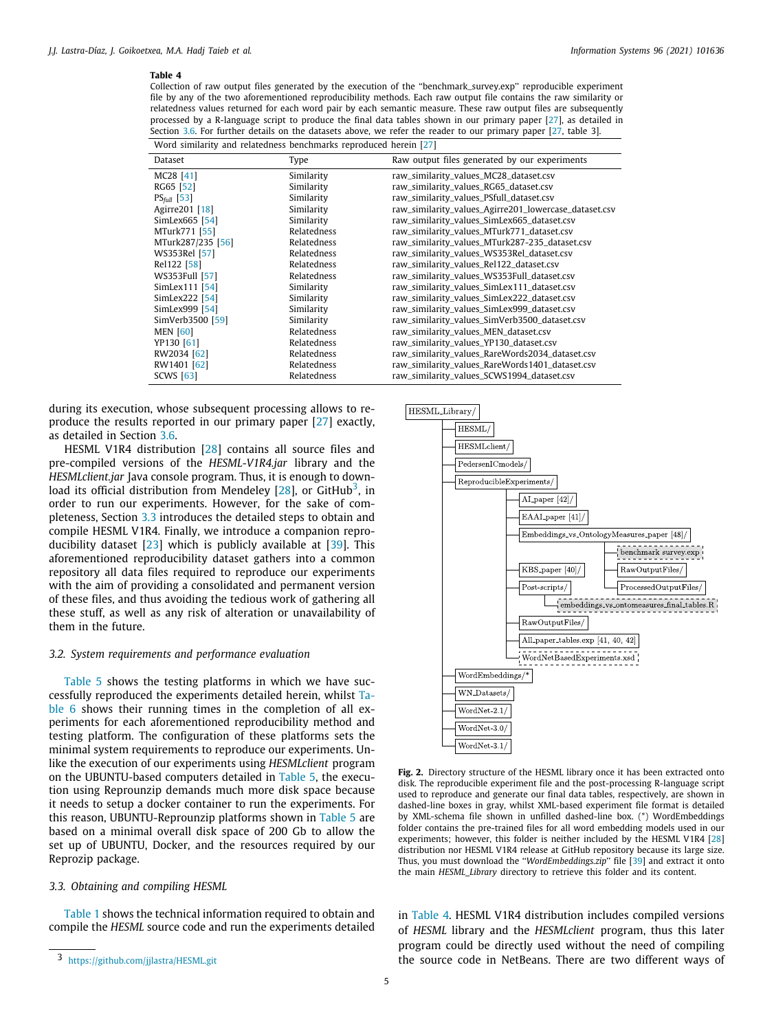<span id="page-4-2"></span>Collection of raw output files generated by the execution of the ''benchmark\_survey.exp'' reproducible experiment file by any of the two aforementioned reproducibility methods. Each raw output file contains the raw similarity or relatedness values returned for each word pair by each semantic measure. These raw output files are subsequently processed by a R-language script to produce the final data tables shown in our primary paper [\[27\]](#page-15-15), as detailed in Section [3.6](#page-7-0). For further details on the datasets above, we refer the reader to our primary paper [[27,](#page-15-15) table 3]. Word similarity and relatedness benchmarks reproduced herein [[27\]](#page-15-15)

| word summing and relatedness sentimation reproduced nerein [27] |             |                                                       |
|-----------------------------------------------------------------|-------------|-------------------------------------------------------|
| Dataset                                                         | Type        | Raw output files generated by our experiments         |
| MC28 [41]                                                       | Similarity  | raw_similarity_values_MC28_dataset.csv                |
| RG65 [52]                                                       | Similarity  | raw_similarity_values_RG65_dataset.csv                |
| $PS_{full}$ [53]                                                | Similarity  | raw_similarity_values_PSfull_dataset.csv              |
| Agirre201 [18]                                                  | Similarity  | raw_similarity_values_Agirre201_lowercase_dataset.csv |
| SimLex665 [54]                                                  | Similarity  | raw_similarity_values_SimLex665_dataset.csv           |
| MTurk771 [55]                                                   | Relatedness | raw_similarity_values_MTurk771_dataset.csv            |
| MTurk287/235 [56]                                               | Relatedness | raw_similarity_values_MTurk287-235_dataset.csv        |
| WS353Rel [57]                                                   | Relatedness | raw_similarity_values_WS353Rel_dataset.csv            |
| Rel 122 [58]                                                    | Relatedness | raw_similarity_values_Rel122_dataset.csv              |
| WS353Full [57]                                                  | Relatedness | raw_similarity_values_WS353Full_dataset.csv           |
| SimLex111 [54]                                                  | Similarity  | raw_similarity_values_SimLex111_dataset.csv           |
| SimLex222 [54]                                                  | Similarity  | raw_similarity_values_SimLex222_dataset.csv           |
| SimLex999 [54]                                                  | Similarity  | raw_similarity_values_SimLex999_dataset.csv           |
| SimVerb3500 [59]                                                | Similarity  | raw_similarity_values_SimVerb3500_dataset.csv         |
| <b>MEN [60]</b>                                                 | Relatedness | raw_similarity_values_MEN_dataset.csv                 |
| YP130 [61]                                                      | Relatedness | raw_similarity_values_YP130_dataset.csv               |
| RW2034 [62]                                                     | Relatedness | raw_similarity_values_RareWords2034_dataset.csv       |
| RW1401 [62]                                                     | Relatedness | raw_similarity_values_RareWords1401_dataset.csv       |
| <b>SCWS</b> [63]                                                | Relatedness | raw_similarity_values_SCWS1994_dataset.csv            |
|                                                                 |             |                                                       |

during its execution, whose subsequent processing allows to reproduce the results reported in our primary paper [\[27](#page-15-15)] exactly, as detailed in Section [3.6.](#page-7-0)

HESML V1R4 distribution [[28\]](#page-15-16) contains all source files and pre-compiled versions of the *HESML-V1R4.jar* library and the *HESMLclient.jar* Java console program. Thus, it is enough to down-load its official distribution from Mendeley [\[28](#page-15-16)], or GitHub $^3$  $^3$ , in order to run our experiments. However, for the sake of completeness, Section [3.3](#page-4-1) introduces the detailed steps to obtain and compile HESML V1R4. Finally, we introduce a companion reproducibility dataset [[23](#page-15-10)] which is publicly available at [\[39\]](#page-15-29). This aforementioned reproducibility dataset gathers into a common repository all data files required to reproduce our experiments with the aim of providing a consolidated and permanent version of these files, and thus avoiding the tedious work of gathering all these stuff, as well as any risk of alteration or unavailability of them in the future.

# *3.2. System requirements and performance evaluation*

<span id="page-4-0"></span>[Table](#page-5-0) [5](#page-5-0) shows the testing platforms in which we have successfully reproduced the experiments detailed herein, whilst [Ta](#page-5-1)[ble](#page-5-1) [6](#page-5-1) shows their running times in the completion of all experiments for each aforementioned reproducibility method and testing platform. The configuration of these platforms sets the minimal system requirements to reproduce our experiments. Unlike the execution of our experiments using *HESMLclient* program on the UBUNTU-based computers detailed in [Table](#page-5-0) [5,](#page-5-0) the execution using Reprounzip demands much more disk space because it needs to setup a docker container to run the experiments. For this reason, UBUNTU-Reprounzip platforms shown in [Table](#page-5-0) [5](#page-5-0) are based on a minimal overall disk space of 200 Gb to allow the set up of UBUNTU, Docker, and the resources required by our Reprozip package.

#### *3.3. Obtaining and compiling HESML*

<span id="page-4-1"></span>[Table](#page-2-1) [1](#page-2-1) shows the technical information required to obtain and compile the *HESML* source code and run the experiments detailed

<span id="page-4-4"></span>

<span id="page-4-3"></span>**Fig. 2.** Directory structure of the HESML library once it has been extracted onto disk. The reproducible experiment file and the post-processing R-language script used to reproduce and generate our final data tables, respectively, are shown in dashed-line boxes in gray, whilst XML-based experiment file format is detailed by XML-schema file shown in unfilled dashed-line box. (\*) WordEmbeddings folder contains the pre-trained files for all word embedding models used in our experiments; however, this folder is neither included by the HESML V1R4 [[28](#page-15-16)] distribution nor HESML V1R4 release at GitHub repository because its large size. Thus, you must download the ''*WordEmbeddings.zip*'' file [[39\]](#page-15-29) and extract it onto the main *HESML\_Library* directory to retrieve this folder and its content.

in [Table](#page-4-2) [4.](#page-4-2) HESML V1R4 distribution includes compiled versions of *HESML* library and the *HESMLclient* program, thus this later program could be directly used without the need of compiling the source code in NetBeans. There are two different ways of

<sup>3</sup> <https://github.com/jjlastra/HESML.git>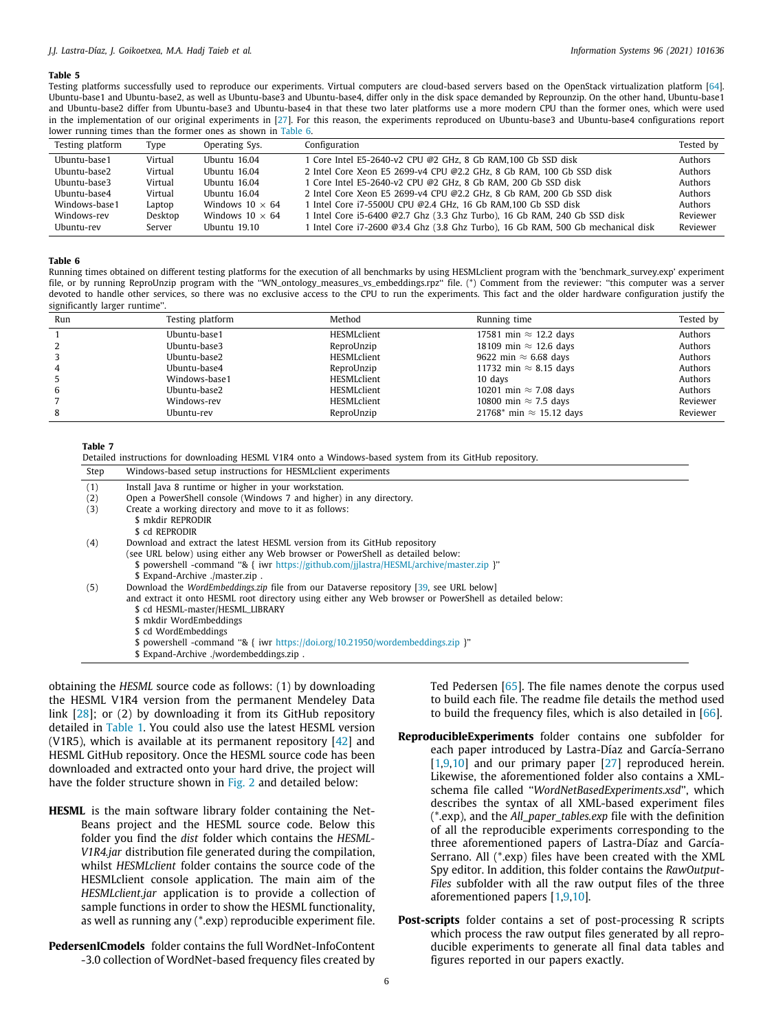#### *J.J. Lastra-Díaz, J. Goikoetxea, M.A. Hadj Taieb et al. Information Systems 96 (2021) 101636*

#### **Table 5**

Testing platforms successfully used to reproduce our experiments. Virtual computers are cloud-based servers based on the OpenStack virtualization platform [\[64\]](#page-16-18). Ubuntu-base1 and Ubuntu-base2, as well as Ubuntu-base3 and Ubuntu-base4, differ only in the disk space demanded by Reprounzip. On the other hand, Ubuntu-base1 and Ubuntu-base2 differ from Ubuntu-base3 and Ubuntu-base4 in that these two later platforms use a more modern CPU than the former ones, which were used in the implementation of our original experiments in [[27\]](#page-15-15). For this reason, the experiments reproduced on Ubuntu-base3 and Ubuntu-base4 configurations report lower running times than the former ones as shown in [Table](#page-5-1) [6](#page-5-1).

<span id="page-5-0"></span>

| Testing platform | Type    | Operating Sys.         | Configuration                                                                    | Tested by |
|------------------|---------|------------------------|----------------------------------------------------------------------------------|-----------|
| Ubuntu-base1     | Virtual | Ubuntu 16.04           | 1 Core Intel E5-2640-v2 CPU @2 GHz, 8 Gb RAM.100 Gb SSD disk                     | Authors   |
| Ubuntu-base2     | Virtual | Ubuntu 16.04           | 2 Intel Core Xeon E5 2699-v4 CPU @2.2 GHz, 8 Gb RAM, 100 Gb SSD disk             | Authors   |
| Ubuntu-base3     | Virtual | Ubuntu 16.04           | 1 Core Intel E5-2640-v2 CPU @2 GHz, 8 Gb RAM, 200 Gb SSD disk                    | Authors   |
| Ubuntu-base4     | Virtual | Ubuntu 16.04           | 2 Intel Core Xeon E5 2699-v4 CPU @2.2 GHz, 8 Gb RAM, 200 Gb SSD disk             | Authors   |
| Windows-base1    | Laptop  | Windows $10 \times 64$ | 1 Intel Core i7-5500U CPU @2.4 GHz, 16 Gb RAM.100 Gb SSD disk                    | Authors   |
| Windows-rev      | Desktop | Windows $10 \times 64$ | 1 Intel Core i5-6400 @2.7 Ghz (3.3 Ghz Turbo), 16 Gb RAM, 240 Gb SSD disk        | Reviewer  |
| Ubuntu-rev       | Server  | Ubuntu 19.10           | 1 Intel Core i7-2600 @3.4 Ghz (3.8 Ghz Turbo), 16 Gb RAM, 500 Gb mechanical disk | Reviewer  |

**Table 6**

Running times obtained on different testing platforms for the execution of all benchmarks by using HESMLclient program with the 'benchmark\_survey.exp' experiment file, or by running ReproUnzip program with the ''WN\_ontology\_measures\_vs\_embeddings.rpz'' file. (\*) Comment from the reviewer: ''this computer was a server devoted to handle other services, so there was no exclusive access to the CPU to run the experiments. This fact and the older hardware configuration justify the significantly larger runtime''.

<span id="page-5-1"></span>

| Run | Testing platform | Method      | Running time                    | Tested by |
|-----|------------------|-------------|---------------------------------|-----------|
|     | Ubuntu-base1     | HESMLclient | 17581 min $\approx$ 12.2 days   | Authors   |
|     | Ubuntu-base3     | ReproUnzip  | 18109 min $\approx$ 12.6 days   | Authors   |
|     | Ubuntu-base2     | HESMLclient | 9622 min $\approx$ 6.68 days    | Authors   |
| 4   | Ubuntu-base4     | ReproUnzip  | 11732 min $\approx$ 8.15 days   | Authors   |
|     | Windows-base1    | HESMLclient | 10 days                         | Authors   |
| b   | Ubuntu-base2     | HESMLclient | 10201 min $\approx$ 7.08 days   | Authors   |
|     | Windows-rev      | HESMLclient | 10800 min $\approx$ 7.5 days    | Reviewer  |
| 8   | Ubuntu-rev       | ReproUnzip  | 21768* min $\approx$ 15.12 days | Reviewer  |

**Table 7**

<span id="page-5-2"></span>

| Step | Windows-based setup instructions for HESML client experiments                                                                                                                                                                                                                                                                                                                                                        |
|------|----------------------------------------------------------------------------------------------------------------------------------------------------------------------------------------------------------------------------------------------------------------------------------------------------------------------------------------------------------------------------------------------------------------------|
| (1)  | Install Java 8 runtime or higher in your workstation.                                                                                                                                                                                                                                                                                                                                                                |
| (2)  | Open a PowerShell console (Windows 7 and higher) in any directory.                                                                                                                                                                                                                                                                                                                                                   |
| (3)  | Create a working directory and move to it as follows:<br>\$ mkdir REPRODIR<br>\$ cd REPRODIR                                                                                                                                                                                                                                                                                                                         |
| (4)  | Download and extract the latest HESML version from its GitHub repository                                                                                                                                                                                                                                                                                                                                             |
|      | (see URL below) using either any Web browser or PowerShell as detailed below:<br>\$ powershell -command "& { iwr https://github.com/jjlastra/HESML/archive/master.zip }"<br>\$ Expand-Archive ./master.zip.                                                                                                                                                                                                          |
| (5)  | Download the WordEmbeddings.zip file from our Dataverse repository [39, see URL below]<br>and extract it onto HESML root directory using either any Web browser or PowerShell as detailed below:<br>\$ cd HESML-master/HESML_LIBRARY<br>\$ mkdir WordEmbeddings<br>\$ cd WordEmbeddings<br>\$ powershell -command "& { iwr https://doi.org/10.21950/wordembeddings.zip }"<br>\$ Expand-Archive ./wordembeddings.zip. |

obtaining the *HESML* source code as follows: (1) by downloading the HESML V1R4 version from the permanent Mendeley Data link [\[28\]](#page-15-16); or (2) by downloading it from its GitHub repository detailed in [Table](#page-2-1) [1](#page-2-1). You could also use the latest HESML version (V1R5), which is available at its permanent repository  $[42]$  and HESML GitHub repository. Once the HESML source code has been downloaded and extracted onto your hard drive, the project will have the folder structure shown in [Fig.](#page-4-3) [2](#page-4-3) and detailed below:

- **HESML** is the main software library folder containing the Net-Beans project and the HESML source code. Below this folder you find the *dist* folder which contains the *HESML-V1R4.jar* distribution file generated during the compilation, whilst *HESMLclient* folder contains the source code of the HESMLclient console application. The main aim of the *HESMLclient.jar* application is to provide a collection of sample functions in order to show the HESML functionality, as well as running any (\*.exp) reproducible experiment file.
- **PedersenICmodels** folder contains the full WordNet-InfoContent -3.0 collection of WordNet-based frequency files created by

Ted Pedersen [\[65\]](#page-16-19). The file names denote the corpus used to build each file. The readme file details the method used to build the frequency files, which is also detailed in [\[66](#page-16-20)].

- **ReproducibleExperiments** folder contains one subfolder for each paper introduced by Lastra-Díaz and García-Serrano [[1](#page-15-0)[,9](#page-15-19),[10\]](#page-15-20) and our primary paper [[27](#page-15-15)] reproduced herein. Likewise, the aforementioned folder also contains a XMLschema file called ''*WordNetBasedExperiments.xsd*'', which describes the syntax of all XML-based experiment files (\*.exp), and the *All\_paper\_tables.exp* file with the definition of all the reproducible experiments corresponding to the three aforementioned papers of Lastra-Díaz and García-Serrano. All (\*.exp) files have been created with the XML Spy editor. In addition, this folder contains the *RawOutput-Files* subfolder with all the raw output files of the three aforementioned papers [[1,](#page-15-0)[9](#page-15-19)[,10\]](#page-15-20).
- **Post-scripts** folder contains a set of post-processing R scripts which process the raw output files generated by all reproducible experiments to generate all final data tables and figures reported in our papers exactly.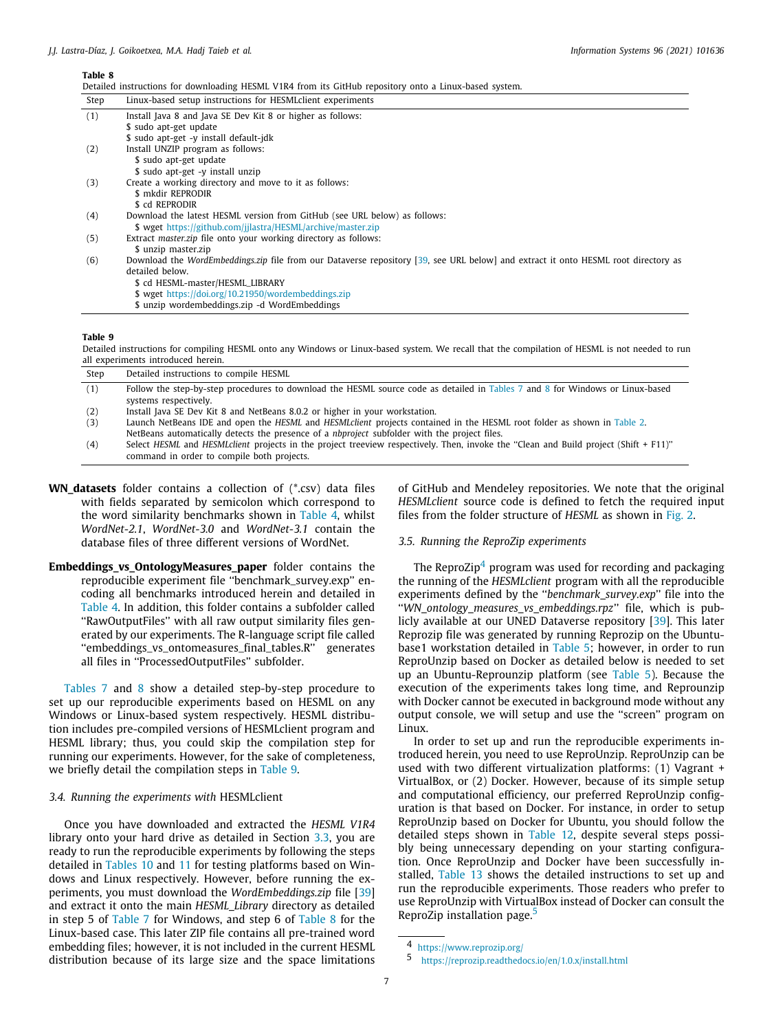<span id="page-6-2"></span>Detailed instructions for downloading HESML V1R4 from its GitHub repository onto a Linux-based system.

| Step | Linux-based setup instructions for HESMLclient experiments                                                                         |
|------|------------------------------------------------------------------------------------------------------------------------------------|
| (1)  | Install Java 8 and Java SE Dev Kit 8 or higher as follows:                                                                         |
|      | \$ sudo apt-get update                                                                                                             |
|      | \$ sudo apt-get -y install default-jdk                                                                                             |
| (2)  | Install UNZIP program as follows:                                                                                                  |
|      | \$ sudo apt-get update                                                                                                             |
|      | \$ sudo apt-get -y install unzip                                                                                                   |
| (3)  | Create a working directory and move to it as follows:                                                                              |
|      | \$ mkdir REPRODIR                                                                                                                  |
|      | \$ cd REPRODIR                                                                                                                     |
| (4)  | Download the latest HESML version from GitHub (see URL below) as follows:                                                          |
|      | \$ wget https://github.com/jilastra/HESML/archive/master.zip                                                                       |
| (5)  | Extract master.zip file onto your working directory as follows:                                                                    |
|      | \$ unzip master.zip                                                                                                                |
| (6)  | Download the WordEmbeddings.zip file from our Dataverse repository [39, see URL below] and extract it onto HESML root directory as |
|      | detailed below.                                                                                                                    |
|      | \$ cd HESML-master/HESML_LIBRARY                                                                                                   |
|      | \$ wget https://doi.org/10.21950/wordembeddings.zip                                                                                |
|      | \$ unzip wordembeddings.zip -d WordEmbeddings                                                                                      |

**Table 9**

<span id="page-6-3"></span>Detailed instructions for compiling HESML onto any Windows or Linux-based system. We recall that the compilation of HESML is not needed to run all experiments introduced herein.

| Step | Detailed instructions to compile HESML                                                                                               |
|------|--------------------------------------------------------------------------------------------------------------------------------------|
| (1)  | Follow the step-by-step procedures to download the HESML source code as detailed in Tables 7 and 8 for Windows or Linux-based        |
|      | systems respectively.                                                                                                                |
| (2)  | Install Java SE Dev Kit 8 and NetBeans 8.0.2 or higher in your workstation.                                                          |
| (3)  | Launch NetBeans IDE and open the HESML and HESMLclient projects contained in the HESML root folder as shown in Table 2.              |
|      | NetBeans automatically detects the presence of a <i>nbproject</i> subfolder with the project files.                                  |
| (4)  | Select HESML and HESMLclient projects in the project treeview respectively. Then, invoke the "Clean and Build project (Shift + F11)" |
|      | command in order to compile both projects.                                                                                           |
|      |                                                                                                                                      |

- **WN\_datasets** folder contains a collection of (\*.csv) data files with fields separated by semicolon which correspond to the word similarity benchmarks shown in [Table](#page-4-2) [4,](#page-4-2) whilst *WordNet-2.1*, *WordNet-3.0* and *WordNet-3.1* contain the database files of three different versions of WordNet.
- **Embeddings\_vs\_OntologyMeasures\_paper** folder contains the reproducible experiment file ''benchmark\_survey.exp'' encoding all benchmarks introduced herein and detailed in [Table](#page-4-2) [4.](#page-4-2) In addition, this folder contains a subfolder called ''RawOutputFiles'' with all raw output similarity files generated by our experiments. The R-language script file called ''embeddings\_vs\_ontomeasures\_final\_tables.R'' generates all files in ''ProcessedOutputFiles'' subfolder.

[Tables](#page-5-2) [7](#page-5-2) and [8](#page-6-2) show a detailed step-by-step procedure to set up our reproducible experiments based on HESML on any Windows or Linux-based system respectively. HESML distribution includes pre-compiled versions of HESMLclient program and HESML library; thus, you could skip the compilation step for running our experiments. However, for the sake of completeness, we briefly detail the compilation steps in [Table](#page-6-3) [9.](#page-6-3)

# *3.4. Running the experiments with* HESMLclient

<span id="page-6-0"></span>Once you have downloaded and extracted the *HESML V1R4* library onto your hard drive as detailed in Section [3.3](#page-4-1), you are ready to run the reproducible experiments by following the steps detailed in [Tables](#page-7-1) [10](#page-7-1) and [11](#page-7-2) for testing platforms based on Windows and Linux respectively. However, before running the experiments, you must download the *WordEmbeddings.zip* file [\[39\]](#page-15-29) and extract it onto the main *HESML\_Library* directory as detailed in step 5 of [Table](#page-5-2) [7](#page-5-2) for Windows, and step 6 of [Table](#page-6-2) [8](#page-6-2) for the Linux-based case. This later ZIP file contains all pre-trained word embedding files; however, it is not included in the current HESML distribution because of its large size and the space limitations

of GitHub and Mendeley repositories. We note that the original *HESMLclient* source code is defined to fetch the required input files from the folder structure of *HESML* as shown in [Fig.](#page-4-3) [2.](#page-4-3)

#### *3.5. Running the ReproZip experiments*

<span id="page-6-4"></span><span id="page-6-1"></span>The ReproZip<sup>[4](#page-6-4)</sup> program was used for recording and packaging the running of the *HESMLclient* program with all the reproducible experiments defined by the ''*benchmark\_survey.exp*'' file into the ''*WN\_ontology\_measures\_vs\_embeddings.rpz*'' file, which is publicly available at our UNED Dataverse repository [\[39\]](#page-15-29). This later Reprozip file was generated by running Reprozip on the Ubuntubase1 workstation detailed in [Table](#page-5-0) [5](#page-5-0); however, in order to run ReproUnzip based on Docker as detailed below is needed to set up an Ubuntu-Reprounzip platform (see [Table](#page-5-0) [5](#page-5-0)). Because the execution of the experiments takes long time, and Reprounzip with Docker cannot be executed in background mode without any output console, we will setup and use the ''screen'' program on Linux.

In order to set up and run the reproducible experiments introduced herein, you need to use ReproUnzip. ReproUnzip can be used with two different virtualization platforms: (1) Vagrant + VirtualBox, or (2) Docker. However, because of its simple setup and computational efficiency, our preferred ReproUnzip configuration is that based on Docker. For instance, in order to setup ReproUnzip based on Docker for Ubuntu, you should follow the detailed steps shown in [Table](#page-7-3) [12](#page-7-3), despite several steps possibly being unnecessary depending on your starting configuration. Once ReproUnzip and Docker have been successfully installed, [Table](#page-8-1) [13](#page-8-1) shows the detailed instructions to set up and run the reproducible experiments. Those readers who prefer to use ReproUnzip with VirtualBox instead of Docker can consult the ReproZip installation page.<sup>[5](#page-6-5)</sup>

<span id="page-6-5"></span><sup>4</sup> <https://www.reprozip.org/>

<sup>5</sup> <https://reprozip.readthedocs.io/en/1.0.x/install.html>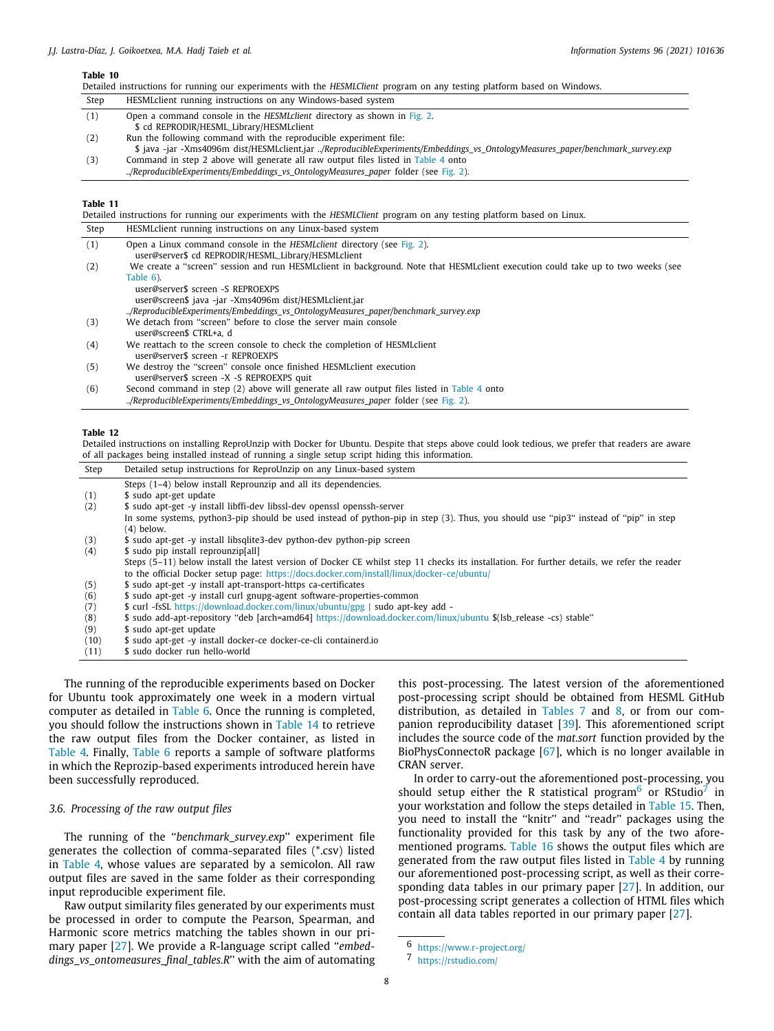<span id="page-7-1"></span>

|                                                                                                                                                                                | Detailed instructions for running our experiments with the HESMLClient program on any testing platform based on Windows.                                                                           |
|--------------------------------------------------------------------------------------------------------------------------------------------------------------------------------|----------------------------------------------------------------------------------------------------------------------------------------------------------------------------------------------------|
| Step                                                                                                                                                                           | HESML client running instructions on any Windows-based system                                                                                                                                      |
| (1)                                                                                                                                                                            | Open a command console in the HESML client directory as shown in Fig. 2.<br>\$ cd REPRODIR/HESML_Library/HESMLclient                                                                               |
| (2)                                                                                                                                                                            | Run the following command with the reproducible experiment file:<br>\$ java -jar -Xms4096m dist/HESMLclient.jar /ReproducibleExperiments/Embeddings vs OntologyMeasures paper/benchmark survey.exp |
| Command in step 2 above will generate all raw output files listed in Table 4 onto<br>(3)<br>/ReproducibleExperiments/Embeddings_vs_OntologyMeasures_paper folder (see Fig. 2). |                                                                                                                                                                                                    |
| Table 11                                                                                                                                                                       |                                                                                                                                                                                                    |
|                                                                                                                                                                                | Detailed instructions for running our experiments with the HESMLClient program on any testing platform based on Linux.                                                                             |
| Step                                                                                                                                                                           | HESML client running instructions on any Linux-based system                                                                                                                                        |

<span id="page-7-2"></span>

| (1) | Open a Linux command console in the HESML client directory (see Fig. 2).<br>user@server\$ cd REPRODIR/HESML_Library/HESMLclient |
|-----|---------------------------------------------------------------------------------------------------------------------------------|
| (2) | We create a "screen" session and run HESMLclient in background. Note that HESMLclient execution could take up to two weeks (see |
|     | Table 6).                                                                                                                       |
|     | user@server\$ screen -S REPROEXPS                                                                                               |
|     | user@screen\$ java -jar -Xms4096m dist/HESMLclient.jar                                                                          |
|     | ReproducibleExperiments/Embeddings vs OntologyMeasures paper/benchmark survey.exp                                               |
| (3) | We detach from "screen" before to close the server main console                                                                 |
|     | user@screen\$ CTRL+a. d                                                                                                         |
| (4) | We reattach to the screen console to check the completion of HESML client                                                       |
|     | user@server\$ screen -r REPROEXPS                                                                                               |
| (5) | We destroy the "screen" console once finished HESML client execution                                                            |
|     | user@server\$ screen -X -S REPROEXPS quit                                                                                       |
| (6) | Second command in step (2) above will generate all raw output files listed in Table 4 onto                                      |
|     | /ReproducibleExperiments/Embeddings vs OntologyMeasures paper folder (see Fig. 2).                                              |

**Table 12**

Detailed instructions on installing ReproUnzip with Docker for Ubuntu. Despite that steps above could look tedious, we prefer that readers are aware of all packages being installed instead of running a single setup script hiding this information.

<span id="page-7-3"></span>

| Step | Detailed setup instructions for ReproUnzip on any Linux-based system                                                                        |
|------|---------------------------------------------------------------------------------------------------------------------------------------------|
|      | Steps (1-4) below install Reprounzip and all its dependencies.                                                                              |
| (1)  | \$ sudo apt-get update                                                                                                                      |
| (2)  | \$ sudo apt-get -y install libffi-dev libssl-dev openssl openssh-server                                                                     |
|      | In some systems, python3-pip should be used instead of python-pip in step (3). Thus, you should use "pip3" instead of "pip" in step         |
|      | $(4)$ below.                                                                                                                                |
| (3)  | \$ sudo apt-get -y install libsqlite3-dev python-dev python-pip screen                                                                      |
| (4)  | \$ sudo pip install reprounzip[all]                                                                                                         |
|      | Steps (5–11) below install the latest version of Docker CE whilst step 11 checks its installation. For further details, we refer the reader |
|      | to the official Docker setup page: https://docs.docker.com/install/linux/docker-ce/ubuntu/                                                  |
| (5)  | \$ sudo apt-get -y install apt-transport-https ca-certificates                                                                              |
| (6)  | \$ sudo apt-get -y install curl gnupg-agent software-properties-common                                                                      |
| (7)  | \$ curl -fsSL https://download.docker.com/linux/ubuntu/gpg   sudo apt-key add -                                                             |
| (8)  | \$ sudo add-apt-repository "deb [arch=amd64] https://download.docker.com/linux/ubuntu \$(lsb_release -cs) stable"                           |
| (9)  | \$ sudo apt-get update                                                                                                                      |
| (10) | \$ sudo apt-get -y install docker-ce docker-ce-cli containerd.io                                                                            |
| (11) | \$ sudo docker run hello-world                                                                                                              |

The running of the reproducible experiments based on Docker for Ubuntu took approximately one week in a modern virtual computer as detailed in [Table](#page-5-1) [6](#page-5-1). Once the running is completed, you should follow the instructions shown in [Table](#page-8-2) [14](#page-8-2) to retrieve the raw output files from the Docker container, as listed in [Table](#page-4-2) [4](#page-4-2). Finally, [Table](#page-5-1) [6](#page-5-1) reports a sample of software platforms in which the Reprozip-based experiments introduced herein have been successfully reproduced.

# *3.6. Processing of the raw output files*

<span id="page-7-0"></span>The running of the ''*benchmark\_survey.exp*'' experiment file generates the collection of comma-separated files (\*.csv) listed in [Table](#page-4-2) [4](#page-4-2), whose values are separated by a semicolon. All raw output files are saved in the same folder as their corresponding input reproducible experiment file.

Raw output similarity files generated by our experiments must be processed in order to compute the Pearson, Spearman, and Harmonic score metrics matching the tables shown in our primary paper [\[27\]](#page-15-15). We provide a R-language script called ''*embeddings* vs ontomeasures final tables.R" with the aim of automating this post-processing. The latest version of the aforementioned post-processing script should be obtained from HESML GitHub distribution, as detailed in [Tables](#page-5-2) [7](#page-5-2) and [8,](#page-6-2) or from our companion reproducibility dataset [[39](#page-15-29)]. This aforementioned script includes the source code of the *mat.sort* function provided by the BioPhysConnectoR package [\[67\]](#page-16-21), which is no longer available in CRAN server.

<span id="page-7-5"></span><span id="page-7-4"></span>In order to carry-out the aforementioned post-processing, you should setup either the R statistical program<sup>[6](#page-7-4)</sup> or RStudio<sup>[7](#page-7-5)</sup> in your workstation and follow the steps detailed in [Table](#page-8-3) [15](#page-8-3). Then, you need to install the ''knitr'' and ''readr'' packages using the functionality provided for this task by any of the two aforementioned programs. [Table](#page-9-0) [16](#page-9-0) shows the output files which are generated from the raw output files listed in [Table](#page-4-2) [4](#page-4-2) by running our aforementioned post-processing script, as well as their corresponding data tables in our primary paper [\[27\]](#page-15-15). In addition, our post-processing script generates a collection of HTML files which contain all data tables reported in our primary paper [\[27\]](#page-15-15).

<sup>6</sup> <https://www.r-project.org/>

<sup>7</sup> <https://rstudio.com/>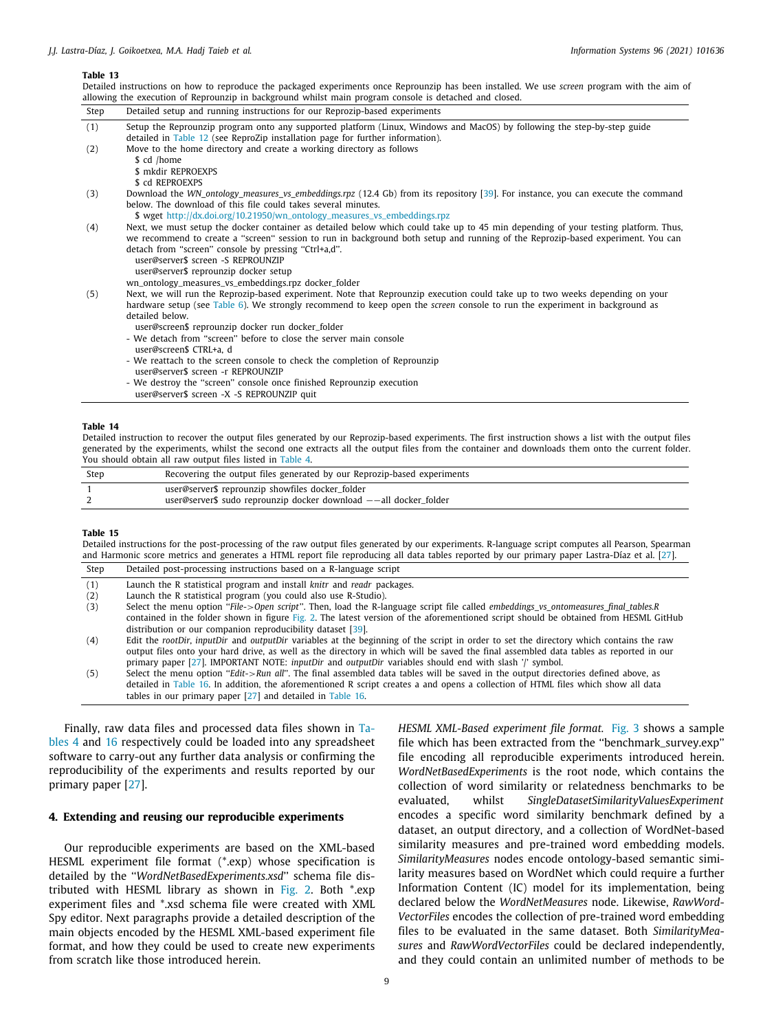<span id="page-8-1"></span>Detailed instructions on how to reproduce the packaged experiments once Reprounzip has been installed. We use *screen* program with the aim of allowing the execution of Reprounzip in background whilst main program console is detached and closed. Step Detailed setup and running instructions for our Reprozip-based experiments (1) Setup the Reprounzip program onto any supported platform (Linux, Windows and MacOS) by following the step-by-step guide detailed in [Table](#page-7-3) [12](#page-7-3) (see ReproZip installation page for further information). (2) Move to the home directory and create a working directory as follows \$ cd /home \$ mkdir REPROEXPS \$ cd REPROEXPS (3) Download the *WN* ontology measures vs embeddings.rpz (12.4 Gb) from its repository [\[39\]](#page-15-29). For instance, you can execute the command below. The download of this file could takes several minutes. \$ wget [http://dx.doi.org/10.21950/wn\\_ontology\\_measures\\_vs\\_embeddings.rpz](http://dx.doi.org/10.21950/wn_ontology_measures_vs_embeddings.rpz) (4) Next, we must setup the docker container as detailed below which could take up to 45 min depending of your testing platform. Thus,

we recommend to create a ''screen'' session to run in background both setup and running of the Reprozip-based experiment. You can detach from "screen" console by pressing "Ctrl+a,d". user@server\$ screen -S REPROUNZIP user@server\$ reprounzip docker setup wn\_ontology\_measures\_vs\_embeddings.rpz docker\_folder (5) Next, we will run the Reprozip-based experiment. Note that Reprounzip execution could take up to two weeks depending on your

- hardware setup (see [Table](#page-5-1) [6](#page-5-1)). We strongly recommend to keep open the *screen* console to run the experiment in background as detailed below.
	- user@screen\$ reprounzip docker run docker\_folder
	- We detach from ''screen'' before to close the server main console user@screen\$ CTRL+a, d
	-
	- We reattach to the screen console to check the completion of Reprounzip user@server\$ screen -r REPROUNZIP
	- We destroy the ''screen'' console once finished Reprounzip execution
	- user@server\$ screen -X -S REPROUNZIP quit

#### **Table 14**

<span id="page-8-2"></span>Detailed instruction to recover the output files generated by our Reprozip-based experiments. The first instruction shows a list with the output files generated by the experiments, whilst the second one extracts all the output files from the container and downloads them onto the current folder. You should obtain all raw output files listed in [Table](#page-4-2) [4.](#page-4-2)

| Ster | Recovering the output files generated by our Reprozip-based experiments |
|------|-------------------------------------------------------------------------|
|      | user@server\$ reprounzip showfiles docker_folder                        |
|      | user@server\$ sudo reprounzip docker download --all docker_folder       |
|      |                                                                         |

# **Table 15**

<span id="page-8-3"></span>Detailed instructions for the post-processing of the raw output files generated by our experiments. R-language script computes all Pearson, Spearman and Harmonic score metrics and generates a HTML report file reproducing all data tables reported by our primary paper Lastra-Díaz et al. [\[27\]](#page-15-15).

| Step | Detailed post-processing instructions based on a R-language script                                                                     |
|------|----------------------------------------------------------------------------------------------------------------------------------------|
| (1)  | Launch the R statistical program and install <i>knitr</i> and <i>readr</i> packages.                                                   |
| (2)  | Launch the R statistical program (you could also use R-Studio).                                                                        |
| (3)  | Select the menu option "File->Open script". Then, load the R-language script file called embeddings_vs_ontomeasures_final_tables.R     |
|      | contained in the folder shown in figure Fig. 2. The latest version of the aforementioned script should be obtained from HESML GitHub   |
|      | distribution or our companion reproducibility dataset [39].                                                                            |
| (4)  | Edit the rootDir, inputDir and outputDir variables at the beginning of the script in order to set the directory which contains the raw |
|      | output files onto your hard drive, as well as the directory in which will be saved the final assembled data tables as reported in our  |
|      | primary paper [27]. IMPORTANT NOTE: inputDir and <i>outputDir</i> variables should end with slash '/' symbol.                          |
| (5)  | Select the menu option "Edit->Run all". The final assembled data tables will be saved in the output directories defined above, as      |
|      | detailed in Table 16. In addition, the aforementioned R script creates a and opens a collection of HTML files which show all data      |
|      | tables in our primary paper [27] and detailed in Table 16.                                                                             |

Finally, raw data files and processed data files shown in [Ta](#page-4-2)[bles](#page-4-2) [4](#page-4-2) and [16](#page-9-0) respectively could be loaded into any spreadsheet software to carry-out any further data analysis or confirming the reproducibility of the experiments and results reported by our primary paper [[27](#page-15-15)].

# **4. Extending and reusing our reproducible experiments**

<span id="page-8-0"></span>Our reproducible experiments are based on the XML-based HESML experiment file format (\*.exp) whose specification is detailed by the ''*WordNetBasedExperiments.xsd*'' schema file distributed with HESML library as shown in [Fig.](#page-4-3) [2](#page-4-3). Both \*.exp experiment files and \*.xsd schema file were created with XML Spy editor. Next paragraphs provide a detailed description of the main objects encoded by the HESML XML-based experiment file format, and how they could be used to create new experiments from scratch like those introduced herein.

*HESML XML-Based experiment file format.* [Fig.](#page-9-1) [3](#page-9-1) shows a sample file which has been extracted from the ''benchmark\_survey.exp'' file encoding all reproducible experiments introduced herein. *WordNetBasedExperiments* is the root node, which contains the collection of word similarity or relatedness benchmarks to be evaluated, whilst *SingleDatasetSimilarityValuesExperiment* encodes a specific word similarity benchmark defined by a dataset, an output directory, and a collection of WordNet-based similarity measures and pre-trained word embedding models. *SimilarityMeasures* nodes encode ontology-based semantic similarity measures based on WordNet which could require a further Information Content (IC) model for its implementation, being declared below the *WordNetMeasures* node. Likewise, *RawWord-VectorFiles* encodes the collection of pre-trained word embedding files to be evaluated in the same dataset. Both *SimilarityMeasures* and *RawWordVectorFiles* could be declared independently, and they could contain an unlimited number of methods to be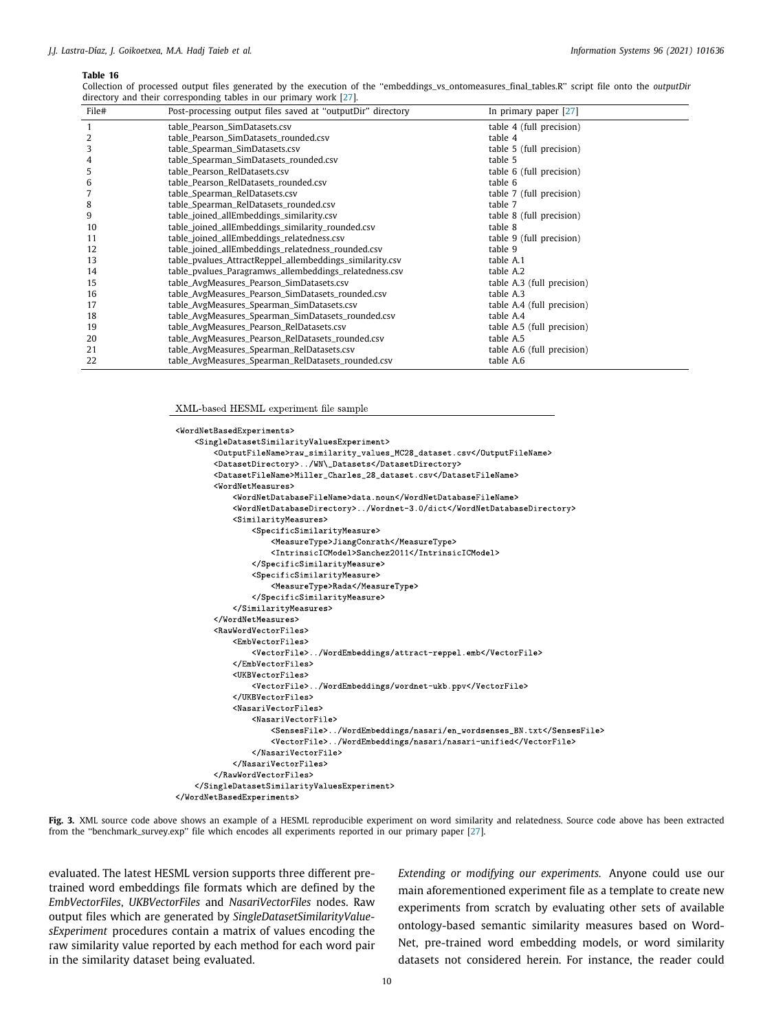<span id="page-9-0"></span>Collection of processed output files generated by the execution of the ''embeddings\_vs\_ontomeasures\_final\_tables.R'' script file onto the *outputDir* directory and their corresponding tables in our primary work [\[27\]](#page-15-15).

| File# | Post-processing output files saved at "outputDir" directory | In primary paper [27]      |
|-------|-------------------------------------------------------------|----------------------------|
| -1    | table_Pearson_SimDatasets.csv                               | table 4 (full precision)   |
| 2     | table_Pearson_SimDatasets_rounded.csv                       | table 4                    |
| 3     | table_Spearman_SimDatasets.csv                              | table 5 (full precision)   |
| 4     | table_Spearman_SimDatasets_rounded.csv                      | table 5                    |
| 5     | table_Pearson_RelDatasets.csv                               | table 6 (full precision)   |
| 6     | table_Pearson_RelDatasets_rounded.csv                       | table 6                    |
| 7     | table_Spearman_RelDatasets.csv                              | table 7 (full precision)   |
| 8     | table_Spearman_RelDatasets_rounded.csv                      | table 7                    |
| 9     | table_joined_allEmbeddings_similarity.csv                   | table 8 (full precision)   |
| 10    | table_joined_allEmbeddings_similarity_rounded.csv           | table 8                    |
| 11    | table_joined_allEmbeddings_relatedness.csv                  | table 9 (full precision)   |
| 12    | table_joined_allEmbeddings_relatedness_rounded.csv          | table 9                    |
| 13    | table_pvalues_AttractReppel_allembeddings_similarity.csv    | table A.1                  |
| 14    | table_pvalues_Paragramws_allembeddings_relatedness.csv      | table A.2                  |
| 15    | table_AvgMeasures_Pearson_SimDatasets.csv                   | table A.3 (full precision) |
| 16    | table_AvgMeasures_Pearson_SimDatasets_rounded.csv           | table A.3                  |
| 17    | table_AvgMeasures_Spearman_SimDatasets.csv                  | table A.4 (full precision) |
| 18    | table_AvgMeasures_Spearman_SimDatasets_rounded.csv          | table A.4                  |
| 19    | table_AvgMeasures_Pearson_RelDatasets.csv                   | table A.5 (full precision) |
| 20    | table_AvgMeasures_Pearson_RelDatasets_rounded.csv           | table A.5                  |
| 21    | table_AvgMeasures_Spearman_RelDatasets.csv                  | table A.6 (full precision) |
| 22    | table_AvgMeasures_Spearman_RelDatasets_rounded.csv          | table A.6                  |

XML-based HESML experiment file sample

```
<WordNetBasedExperiments>
    <SingleDatasetSimilarityValuesExperiment>
        <OutputFileName>raw_similarity_values_MC28_dataset.csv</OutputFileName>
        <DatasetDirectory>../WN\_Datasets</DatasetDirectory>
        <DatasetFileName>Miller_Charles_28_dataset.csv</DatasetFileName>
        <WordNetMeasures>
            <\!\!W\!ord\!N\!et\!DatabaseFileName\!>\!data.noun\!/\!W\!ord\!Net\!DatabaseFileName\!>\!<WordNetDatabaseDirectory>../Wordnet-3.0/dict</WordNetDatabaseDirectory>
            <SimilarityMeasures>
                 <SpecificSimilaritvMeasure>
                     <MeasureType>JiangConrath</MeasureType>
                     <IntrinsicICModel>Sanchez2011</IntrinsicICModel>
                 </SpecificSimilarityMeasure>
                 <SpecificSimilarityMeasure>
                    <MeasureType>Rada</MeasureType>
                 </SpecificSimilarityMeasure>
            </SimilarityMeasures>
        </WordNetMeasures>
        <RawWordVectorFiles>
            <EmbVectorFiles>
                 <VectorFile>../WordEmbeddings/attract-reppel.emb</VectorFile>
            </EmbVectorFiles>
            <UKBVectorFiles>
                <VectorFile>../WordEmbeddings/wordnet-ukb.ppv</VectorFile>
            </UKBVectorFiles>
            <NasariVectorFiles>
                 <NasariVectorFile>
                     <SensesFile>../WordEmbeddings/nasari/en_wordsenses_BN.txt</SensesFile>
                     <VectorFile>../WordEmbeddings/nasari/nasari-unified</VectorFile>
                </NasariVectorFile>
            </NasariVectorFiles>
        </RawWordVectorFiles>
    </SingleDatasetSimilarityValuesExperiment>
\frac{2}{\sqrt{2}} /WordNetBasedExperiments>
```
<span id="page-9-1"></span>**Fig. 3.** XML source code above shows an example of a HESML reproducible experiment on word similarity and relatedness. Source code above has been extracted from the ''benchmark\_survey.exp'' file which encodes all experiments reported in our primary paper [\[27\]](#page-15-15).

evaluated. The latest HESML version supports three different pretrained word embeddings file formats which are defined by the *EmbVectorFiles*, *UKBVectorFiles* and *NasariVectorFiles* nodes. Raw output files which are generated by *SingleDatasetSimilarityValuesExperiment* procedures contain a matrix of values encoding the raw similarity value reported by each method for each word pair in the similarity dataset being evaluated.

*Extending or modifying our experiments.* Anyone could use our main aforementioned experiment file as a template to create new experiments from scratch by evaluating other sets of available ontology-based semantic similarity measures based on Word-Net, pre-trained word embedding models, or word similarity datasets not considered herein. For instance, the reader could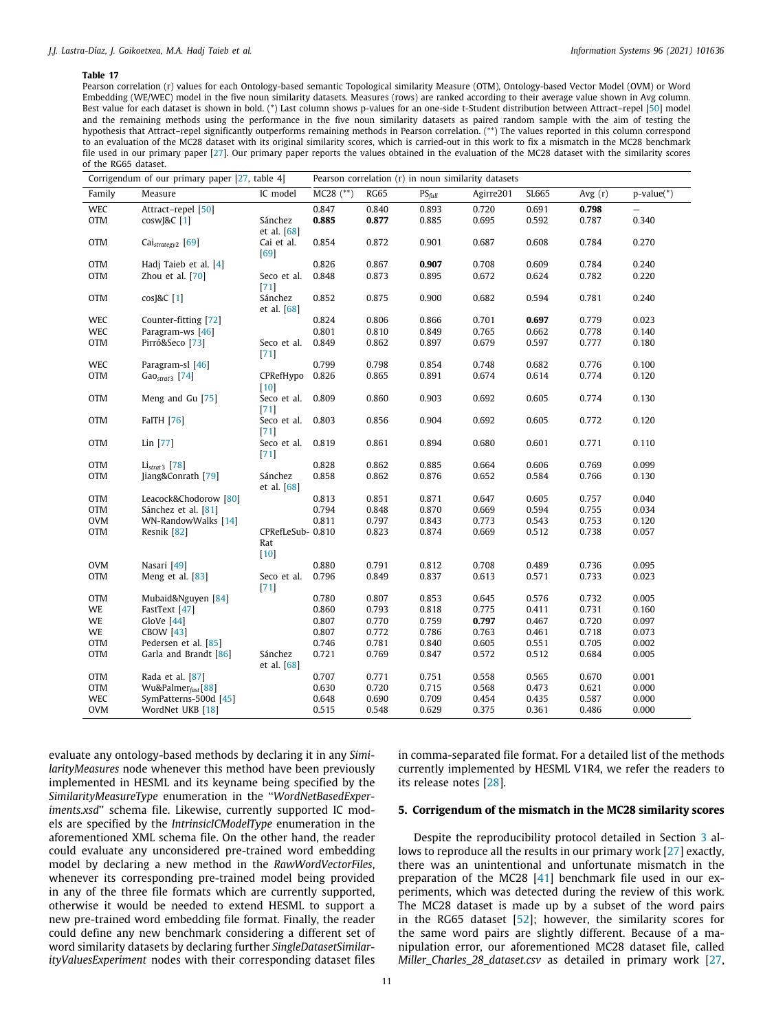Pearson correlation (r) values for each Ontology-based semantic Topological similarity Measure (OTM), Ontology-based Vector Model (OVM) or Word Embedding (WE/WEC) model in the five noun similarity datasets. Measures (rows) are ranked according to their average value shown in Avg column. Best value for each dataset is shown in bold. (\*) Last column shows p-values for an one-side t-Student distribution between Attract–repel [[50\]](#page-16-4) model and the remaining methods using the performance in the five noun similarity datasets as paired random sample with the aim of testing the hypothesis that Attract–repel significantly outperforms remaining methods in Pearson correlation. (\*\*) The values reported in this column correspond to an evaluation of the MC28 dataset with its original similarity scores, which is carried-out in this work to fix a mismatch in the MC28 benchmark file used in our primary paper [\[27](#page-15-15)]. Our primary paper reports the values obtained in the evaluation of the MC28 dataset with the similarity scores of the RG65 dataset.

<span id="page-10-1"></span>

|            | Corrigendum of our primary paper [27, table 4] | Pearson correlation (r) in noun similarity datasets |             |             |                  |           |       |           |              |
|------------|------------------------------------------------|-----------------------------------------------------|-------------|-------------|------------------|-----------|-------|-----------|--------------|
| Family     | Measure                                        | IC model                                            | $MC28$ (**) | <b>RG65</b> | $PS$ <i>full</i> | Agirre201 | SL665 | Avg $(r)$ | $p-value(*)$ |
| <b>WEC</b> | Attract-repel [50]                             |                                                     | 0.847       | 0.840       | 0.893            | 0.720     | 0.691 | 0.798     |              |
| <b>OTM</b> | cosw <sub>I&amp;C</sub> [1]                    | Sánchez<br>et al. [68]                              | 0.885       | 0.877       | 0.885            | 0.695     | 0.592 | 0.787     | 0.340        |
| <b>OTM</b> | Cai <sub>strategy2</sub> [69]                  | Cai et al.<br>$[69]$                                | 0.854       | 0.872       | 0.901            | 0.687     | 0.608 | 0.784     | 0.270        |
| <b>OTM</b> | Hadj Taieb et al. [4]                          |                                                     | 0.826       | 0.867       | 0.907            | 0.708     | 0.609 | 0.784     | 0.240        |
| <b>OTM</b> | Zhou et al. [70]                               | Seco et al.<br>$[71]$                               | 0.848       | 0.873       | 0.895            | 0.672     | 0.624 | 0.782     | 0.220        |
| <b>OTM</b> | cos[&C[1]                                      | Sánchez<br>et al. $[68]$                            | 0.852       | 0.875       | 0.900            | 0.682     | 0.594 | 0.781     | 0.240        |
| <b>WEC</b> | Counter-fitting [72]                           |                                                     | 0.824       | 0.806       | 0.866            | 0.701     | 0.697 | 0.779     | 0.023        |
| <b>WEC</b> | Paragram-ws [46]                               |                                                     | 0.801       | 0.810       | 0.849            | 0.765     | 0.662 | 0.778     | 0.140        |
| <b>OTM</b> | Pirró&Seco <sup>[73]</sup>                     | Seco et al.<br>[71]                                 | 0.849       | 0.862       | 0.897            | 0.679     | 0.597 | 0.777     | 0.180        |
| <b>WEC</b> | Paragram-sl [46]                               |                                                     | 0.799       | 0.798       | 0.854            | 0.748     | 0.682 | 0.776     | 0.100        |
| <b>OTM</b> | $GaOstrat3$ [74]                               | CPRefHypo<br>$[10]$                                 | 0.826       | 0.865       | 0.891            | 0.674     | 0.614 | 0.774     | 0.120        |
| <b>OTM</b> | Meng and Gu [75]                               | Seco et al.<br>$[71]$                               | 0.809       | 0.860       | 0.903            | 0.692     | 0.605 | 0.774     | 0.130        |
| <b>OTM</b> | <b>FaITH</b> [76]                              | Seco et al.<br>$[71]$                               | 0.803       | 0.856       | 0.904            | 0.692     | 0.605 | 0.772     | 0.120        |
| <b>OTM</b> | Lin [77]                                       | Seco et al.<br>$[71]$                               | 0.819       | 0.861       | 0.894            | 0.680     | 0.601 | 0.771     | 0.110        |
| <b>OTM</b> | $Listrat3$ [78]                                |                                                     | 0.828       | 0.862       | 0.885            | 0.664     | 0.606 | 0.769     | 0.099        |
| OTM        | Jiang&Conrath [79]                             | Sánchez<br>et al. [68]                              | 0.858       | 0.862       | 0.876            | 0.652     | 0.584 | 0.766     | 0.130        |
| <b>OTM</b> | Leacock&Chodorow [80]                          |                                                     | 0.813       | 0.851       | 0.871            | 0.647     | 0.605 | 0.757     | 0.040        |
| <b>OTM</b> | Sánchez et al. [81]                            |                                                     | 0.794       | 0.848       | 0.870            | 0.669     | 0.594 | 0.755     | 0.034        |
| <b>OVM</b> | WN-RandowWalks [14]                            |                                                     | 0.811       | 0.797       | 0.843            | 0.773     | 0.543 | 0.753     | 0.120        |
| <b>OTM</b> | Resnik [82]                                    | CPRefLeSub-0.810<br>Rat<br>$[10]$                   |             | 0.823       | 0.874            | 0.669     | 0.512 | 0.738     | 0.057        |
| <b>OVM</b> | Nasari [49]                                    |                                                     | 0.880       | 0.791       | 0.812            | 0.708     | 0.489 | 0.736     | 0.095        |
| <b>OTM</b> | Meng et al. [83]                               | Seco et al.<br>$[71]$                               | 0.796       | 0.849       | 0.837            | 0.613     | 0.571 | 0.733     | 0.023        |
| <b>OTM</b> | Mubaid&Nguyen [84]                             |                                                     | 0.780       | 0.807       | 0.853            | 0.645     | 0.576 | 0.732     | 0.005        |
| WE         | FastText [47]                                  |                                                     | 0.860       | 0.793       | 0.818            | 0.775     | 0.411 | 0.731     | 0.160        |
| WE         | GloVe [44]                                     |                                                     | 0.807       | 0.770       | 0.759            | 0.797     | 0.467 | 0.720     | 0.097        |
| WE         | <b>CBOW [43]</b>                               |                                                     | 0.807       | 0.772       | 0.786            | 0.763     | 0.461 | 0.718     | 0.073        |
| <b>OTM</b> | Pedersen et al. [85]                           |                                                     | 0.746       | 0.781       | 0.840            | 0.605     | 0.551 | 0.705     | 0.002        |
| <b>OTM</b> | Garla and Brandt [86]                          | Sánchez<br>et al. [68]                              | 0.721       | 0.769       | 0.847            | 0.572     | 0.512 | 0.684     | 0.005        |
| <b>OTM</b> | Rada et al. [87]                               |                                                     | 0.707       | 0.771       | 0.751            | 0.558     | 0.565 | 0.670     | 0.001        |
| <b>OTM</b> | Wu&Palmer <sub>fast</sub> [88]                 |                                                     | 0.630       | 0.720       | 0.715            | 0.568     | 0.473 | 0.621     | 0.000        |
| <b>WEC</b> | SymPatterns-500d [45]                          |                                                     | 0.648       | 0.690       | 0.709            | 0.454     | 0.435 | 0.587     | 0.000        |
| <b>OVM</b> | WordNet UKB [18]                               |                                                     | 0.515       | 0.548       | 0.629            | 0.375     | 0.361 | 0.486     | 0.000        |

evaluate any ontology-based methods by declaring it in any *SimilarityMeasures* node whenever this method have been previously implemented in HESML and its keyname being specified by the *SimilarityMeasureType* enumeration in the ''*WordNetBasedExperiments.xsd*'' schema file. Likewise, currently supported IC models are specified by the *IntrinsicICModelType* enumeration in the aforementioned XML schema file. On the other hand, the reader could evaluate any unconsidered pre-trained word embedding model by declaring a new method in the *RawWordVectorFiles*, whenever its corresponding pre-trained model being provided in any of the three file formats which are currently supported, otherwise it would be needed to extend HESML to support a new pre-trained word embedding file format. Finally, the reader could define any new benchmark considering a different set of word similarity datasets by declaring further *SingleDatasetSimilarityValuesExperiment* nodes with their corresponding dataset files in comma-separated file format. For a detailed list of the methods currently implemented by HESML V1R4, we refer the readers to its release notes [[28\]](#page-15-16).

# **5. Corrigendum of the mismatch in the MC28 similarity scores**

<span id="page-10-0"></span>Despite the reproducibility protocol detailed in Section [3](#page-2-0) allows to reproduce all the results in our primary work [[27](#page-15-15)] exactly, there was an unintentional and unfortunate mismatch in the preparation of the MC28 [[41](#page-15-31)] benchmark file used in our experiments, which was detected during the review of this work. The MC28 dataset is made up by a subset of the word pairs in the RG65 dataset [[52\]](#page-16-6); however, the similarity scores for the same word pairs are slightly different. Because of a manipulation error, our aforementioned MC28 dataset file, called *Miller\_Charles\_28\_dataset.csv* as detailed in primary work [\[27,](#page-15-15)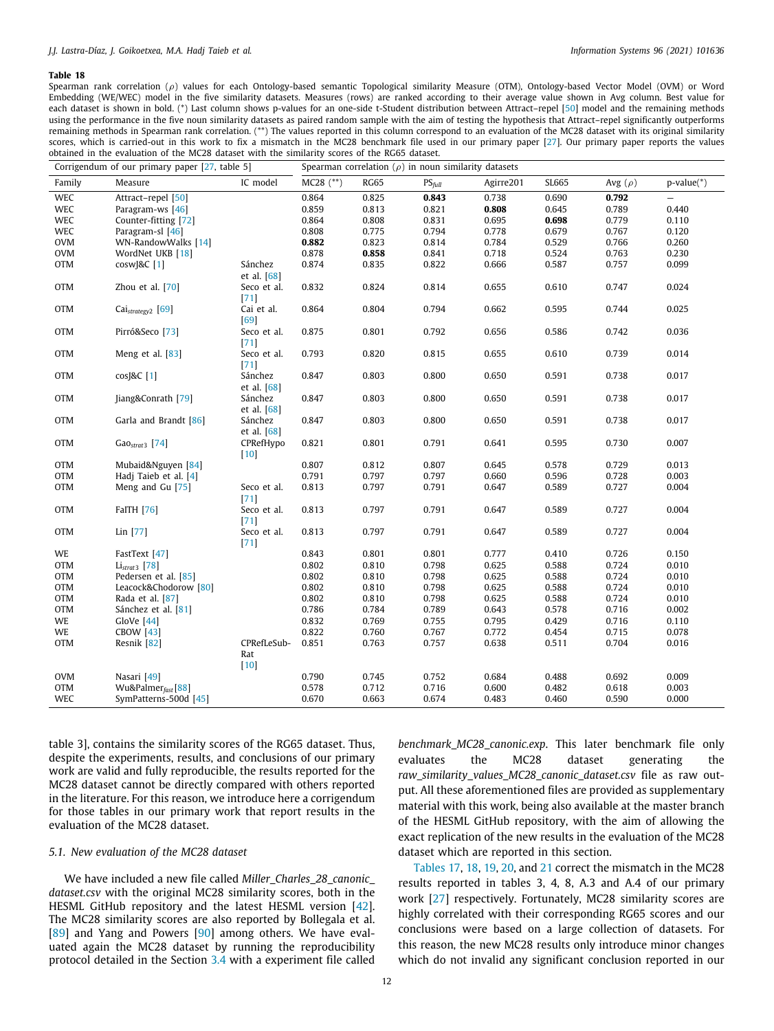Spearman rank correlation ( $\rho$ ) values for each Ontology-based semantic Topological similarity Measure (OTM), Ontology-based Vector Model (OVM) or Word Embedding (WE/WEC) model in the five similarity datasets. Measures (rows) are ranked according to their average value shown in Avg column. Best value for each dataset is shown in bold. (\*) Last column shows p-values for an one-side t-Student distribution between Attract-repel [\[50\]](#page-16-4) model and the remaining methods using the performance in the five noun similarity datasets as paired random sample with the aim of testing the hypothesis that Attract–repel significantly outperforms remaining methods in Spearman rank correlation. (\*\*) The values reported in this column correspond to an evaluation of the MC28 dataset with its original similarity scores, which is carried-out in this work to fix a mismatch in the MC28 benchmark file used in our primary paper [[27\]](#page-15-15). Our primary paper reports the values obtained in the evaluation of the MC28 dataset with the similarity scores of the RG65 dataset.

<span id="page-11-0"></span>

| Corrigendum of our primary paper [27, table 5] |                                 |                          | Spearman correlation ( $\rho$ ) in noun similarity datasets |             |           |           |       |              |                          |
|------------------------------------------------|---------------------------------|--------------------------|-------------------------------------------------------------|-------------|-----------|-----------|-------|--------------|--------------------------|
| Family                                         | Measure                         | IC model                 | $MC28$ $(**)$                                               | <b>RG65</b> | $PS$ full | Agirre201 | SL665 | Avg $(\rho)$ | $p-value(*)$             |
| <b>WEC</b>                                     | Attract-repel [50]              |                          | 0.864                                                       | 0.825       | 0.843     | 0.738     | 0.690 | 0.792        | $\overline{\phantom{0}}$ |
| WEC                                            | Paragram-ws [46]                |                          | 0.859                                                       | 0.813       | 0.821     | 0.808     | 0.645 | 0.789        | 0.440                    |
| <b>WEC</b>                                     | Counter-fitting [72]            |                          | 0.864                                                       | 0.808       | 0.831     | 0.695     | 0.698 | 0.779        | 0.110                    |
| <b>WEC</b>                                     | Paragram-sl [46]                |                          | 0.808                                                       | 0.775       | 0.794     | 0.778     | 0.679 | 0.767        | 0.120                    |
| <b>OVM</b>                                     | WN-RandowWalks [14]             |                          | 0.882                                                       | 0.823       | 0.814     | 0.784     | 0.529 | 0.766        | 0.260                    |
| <b>OVM</b>                                     | WordNet UKB [18]                |                          | 0.878                                                       | 0.858       | 0.841     | 0.718     | 0.524 | 0.763        | 0.230                    |
| <b>OTM</b>                                     | cosw[&C[1]                      | Sánchez                  | 0.874                                                       | 0.835       | 0.822     | 0.666     | 0.587 | 0.757        | 0.099                    |
|                                                |                                 | et al. $[68]$            |                                                             |             |           |           |       |              |                          |
| <b>OTM</b>                                     | Zhou et al. [70]                | Seco et al.<br>$[71]$    | 0.832                                                       | 0.824       | 0.814     | 0.655     | 0.610 | 0.747        | 0.024                    |
| <b>OTM</b>                                     | Cai <sub>strategy2</sub> [69]   | Cai et al.<br>[69]       | 0.864                                                       | 0.804       | 0.794     | 0.662     | 0.595 | 0.744        | 0.025                    |
| <b>OTM</b>                                     | Pirró&Seco [73]                 | Seco et al.<br>$[71]$    | 0.875                                                       | 0.801       | 0.792     | 0.656     | 0.586 | 0.742        | 0.036                    |
| <b>OTM</b>                                     | Meng et al. [83]                | Seco et al.<br>$[71]$    | 0.793                                                       | 0.820       | 0.815     | 0.655     | 0.610 | 0.739        | 0.014                    |
| <b>OTM</b>                                     | cos[&C[1]                       | Sánchez<br>et al. $[68]$ | 0.847                                                       | 0.803       | 0.800     | 0.650     | 0.591 | 0.738        | 0.017                    |
| <b>OTM</b>                                     | Jiang&Conrath [79]              | Sánchez<br>et al. [68]   | 0.847                                                       | 0.803       | 0.800     | 0.650     | 0.591 | 0.738        | 0.017                    |
| <b>OTM</b>                                     | Garla and Brandt [86]           | Sánchez<br>et al. [68]   | 0.847                                                       | 0.803       | 0.800     | 0.650     | 0.591 | 0.738        | 0.017                    |
| <b>OTM</b>                                     | $GaOstrat3$ [74]                | CPRefHypo<br>$[10]$      | 0.821                                                       | 0.801       | 0.791     | 0.641     | 0.595 | 0.730        | 0.007                    |
| <b>OTM</b>                                     | Mubaid&Nguyen [84]              |                          | 0.807                                                       | 0.812       | 0.807     | 0.645     | 0.578 | 0.729        | 0.013                    |
| <b>OTM</b>                                     | Hadi Taieb et al. [4]           |                          | 0.791                                                       | 0.797       | 0.797     | 0.660     | 0.596 | 0.728        | 0.003                    |
| <b>OTM</b>                                     | Meng and Gu [75]                | Seco et al.<br>$[71]$    | 0.813                                                       | 0.797       | 0.791     | 0.647     | 0.589 | 0.727        | 0.004                    |
| <b>OTM</b>                                     | <b>FaITH</b> [76]               | Seco et al.<br>$[71]$    | 0.813                                                       | 0.797       | 0.791     | 0.647     | 0.589 | 0.727        | 0.004                    |
| <b>OTM</b>                                     | $Lin$ [77]                      | Seco et al.<br>$[71]$    | 0.813                                                       | 0.797       | 0.791     | 0.647     | 0.589 | 0.727        | 0.004                    |
| WE                                             | FastText [47]                   |                          | 0.843                                                       | 0.801       | 0.801     | 0.777     | 0.410 | 0.726        | 0.150                    |
| <b>OTM</b>                                     | $Listrat3$ [78]                 |                          | 0.802                                                       | 0.810       | 0.798     | 0.625     | 0.588 | 0.724        | 0.010                    |
| <b>OTM</b>                                     | Pedersen et al. [85]            |                          | 0.802                                                       | 0.810       | 0.798     | 0.625     | 0.588 | 0.724        | 0.010                    |
| <b>OTM</b>                                     | Leacock&Chodorow [80]           |                          | 0.802                                                       | 0.810       | 0.798     | 0.625     | 0.588 | 0.724        | 0.010                    |
| <b>OTM</b>                                     | Rada et al. [87]                |                          | 0.802                                                       | 0.810       | 0.798     | 0.625     | 0.588 | 0.724        | 0.010                    |
| <b>OTM</b>                                     | Sánchez et al. [81]             |                          | 0.786                                                       | 0.784       | 0.789     | 0.643     | 0.578 | 0.716        | 0.002                    |
| WE                                             | GloVe $[44]$                    |                          | 0.832                                                       | 0.769       | 0.755     | 0.795     | 0.429 | 0.716        | 0.110                    |
| WE                                             | <b>CBOW</b> [43]                |                          | 0.822                                                       | 0.760       | 0.767     | 0.772     | 0.454 | 0.715        | 0.078                    |
| <b>OTM</b>                                     | Resnik [82]                     | CPRefLeSub-              | 0.851                                                       | 0.763       | 0.757     | 0.638     | 0.511 | 0.704        | 0.016                    |
|                                                |                                 | Rat<br>$[10]$            |                                                             |             |           |           |       |              |                          |
| <b>OVM</b>                                     | Nasari [49]                     |                          | 0.790                                                       | 0.745       | 0.752     | 0.684     | 0.488 | 0.692        | 0.009                    |
| <b>OTM</b>                                     | Wu&Palmer $_{\text{fast}}$ [88] |                          | 0.578                                                       | 0.712       | 0.716     | 0.600     | 0.482 | 0.618        | 0.003                    |
| WEC                                            | SymPatterns-500d [45]           |                          | 0.670                                                       | 0.663       | 0.674     | 0.483     | 0.460 | 0.590        | 0.000                    |

table 3], contains the similarity scores of the RG65 dataset. Thus, despite the experiments, results, and conclusions of our primary work are valid and fully reproducible, the results reported for the MC28 dataset cannot be directly compared with others reported in the literature. For this reason, we introduce here a corrigendum for those tables in our primary work that report results in the evaluation of the MC28 dataset.

# *5.1. New evaluation of the MC28 dataset*

We have included a new file called *Miller\_Charles\_28\_canonic\_ dataset.csv* with the original MC28 similarity scores, both in the HESML GitHub repository and the latest HESML version [\[42\]](#page-15-36). The MC28 similarity scores are also reported by Bollegala et al. [[89](#page-16-43)] and Yang and Powers [[90](#page-16-44)] among others. We have evaluated again the MC28 dataset by running the reproducibility protocol detailed in the Section [3.4](#page-6-0) with a experiment file called

*benchmark\_MC28\_canonic.exp*. This later benchmark file only evaluates the MC28 dataset generating the *raw\_similarity\_values\_MC28\_canonic\_dataset.csv* file as raw output. All these aforementioned files are provided as supplementary material with this work, being also available at the master branch of the HESML GitHub repository, with the aim of allowing the exact replication of the new results in the evaluation of the MC28 dataset which are reported in this section.

[Tables](#page-10-1) [17,](#page-10-1) [18](#page-11-0), [19,](#page-12-0) [20](#page-13-0), and [21](#page-14-0) correct the mismatch in the MC28 results reported in tables 3, 4, 8, A.3 and A.4 of our primary work [\[27\]](#page-15-15) respectively. Fortunately, MC28 similarity scores are highly correlated with their corresponding RG65 scores and our conclusions were based on a large collection of datasets. For this reason, the new MC28 results only introduce minor changes which do not invalid any significant conclusion reported in our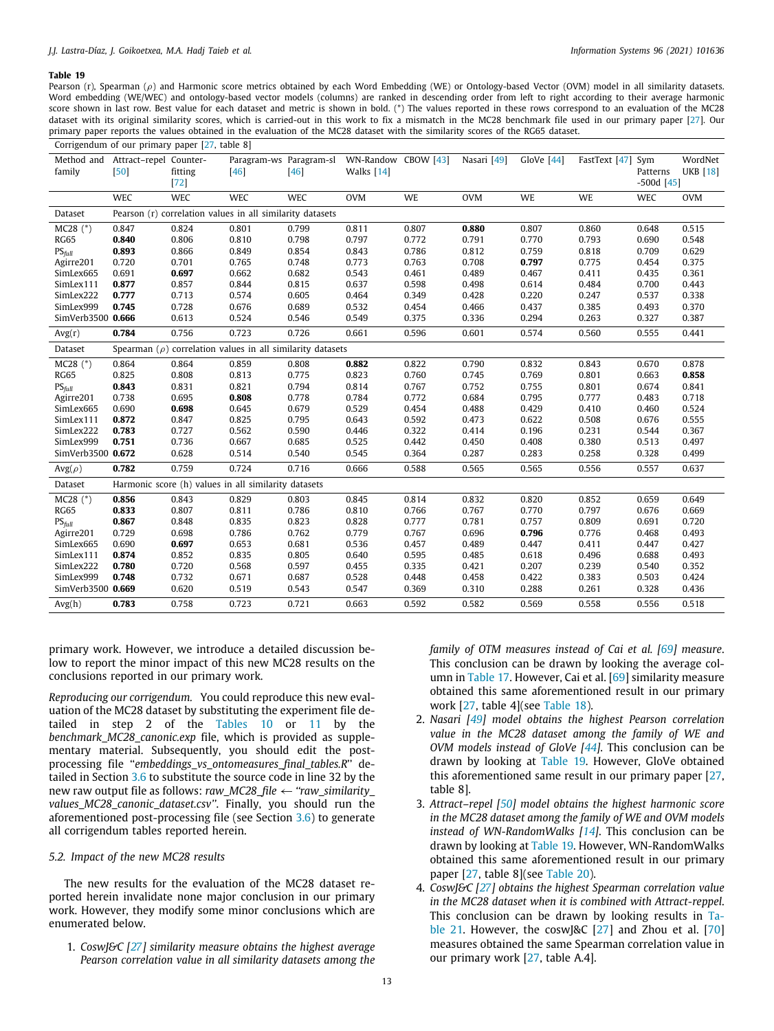Pearson (r), Spearman ( $\rho$ ) and Harmonic score metrics obtained by each Word Embedding (WE) or Ontology-based Vector (OVM) model in all similarity datasets. Word embedding (WE/WEC) and ontology-based vector models (columns) are ranked in descending order from left to right according to their average harmonic score shown in last row. Best value for each dataset and metric is shown in bold. (\*) The values reported in these rows correspond to an evaluation of the MC28 dataset with its original similarity scores, which is carried-out in this work to fix a mismatch in the MC28 benchmark file used in our primary paper [\[27](#page-15-15)]. Our primary paper reports the values obtained in the evaluation of the MC28 dataset with the similarity scores of the RG65 dataset.

<span id="page-12-0"></span>

| Corrigendum of our primary paper [27, table 8] |                                           |                   |                                                                 |                                   |                                   |       |             |            |                   |                          |                            |
|------------------------------------------------|-------------------------------------------|-------------------|-----------------------------------------------------------------|-----------------------------------|-----------------------------------|-------|-------------|------------|-------------------|--------------------------|----------------------------|
| family                                         | Method and Attract-repel Counter-<br>[50] | fitting<br>$[72]$ | [46]                                                            | Paragram-ws Paragram-sl<br>$[46]$ | WN-Randow CBOW [43]<br>Walks [14] |       | Nasari [49] | GloVe [44] | FastText [47] Sym | Patterns<br>$-500d$ [45] | WordNet<br><b>UKB</b> [18] |
|                                                | <b>WEC</b>                                | <b>WEC</b>        | WEC                                                             | <b>WEC</b>                        | <b>OVM</b>                        | WE    | <b>OVM</b>  | <b>WE</b>  | WE                | <b>WEC</b>               | <b>OVM</b>                 |
| Dataset                                        |                                           |                   | Pearson (r) correlation values in all similarity datasets       |                                   |                                   |       |             |            |                   |                          |                            |
| $MC28$ (*)                                     | 0.847                                     | 0.824             | 0.801                                                           | 0.799                             | 0.811                             | 0.807 | 0.880       | 0.807      | 0.860             | 0.648                    | 0.515                      |
| <b>RG65</b>                                    | 0.840                                     | 0.806             | 0.810                                                           | 0.798                             | 0.797                             | 0.772 | 0.791       | 0.770      | 0.793             | 0.690                    | 0.548                      |
| $PS_{full}$                                    | 0.893                                     | 0.866             | 0.849                                                           | 0.854                             | 0.843                             | 0.786 | 0.812       | 0.759      | 0.818             | 0.709                    | 0.629                      |
| Agirre201                                      | 0.720                                     | 0.701             | 0.765                                                           | 0.748                             | 0.773                             | 0.763 | 0.708       | 0.797      | 0.775             | 0.454                    | 0.375                      |
| SimLex665                                      | 0.691                                     | 0.697             | 0.662                                                           | 0.682                             | 0.543                             | 0.461 | 0.489       | 0.467      | 0.411             | 0.435                    | 0.361                      |
| SimLex111                                      | 0.877                                     | 0.857             | 0.844                                                           | 0.815                             | 0.637                             | 0.598 | 0.498       | 0.614      | 0.484             | 0.700                    | 0.443                      |
| SimLex222                                      | 0.777                                     | 0.713             | 0.574                                                           | 0.605                             | 0.464                             | 0.349 | 0.428       | 0.220      | 0.247             | 0.537                    | 0.338                      |
| SimLex999                                      | 0.745                                     | 0.728             | 0.676                                                           | 0.689                             | 0.532                             | 0.454 | 0.466       | 0.437      | 0.385             | 0.493                    | 0.370                      |
| SimVerb3500 0.666                              |                                           | 0.613             | 0.524                                                           | 0.546                             | 0.549                             | 0.375 | 0.336       | 0.294      | 0.263             | 0.327                    | 0.387                      |
| Avg(r)                                         | 0.784                                     | 0.756             | 0.723                                                           | 0.726                             | 0.661                             | 0.596 | 0.601       | 0.574      | 0.560             | 0.555                    | 0.441                      |
| Dataset                                        |                                           |                   | Spearman $(\rho)$ correlation values in all similarity datasets |                                   |                                   |       |             |            |                   |                          |                            |
| $MC28$ (*)                                     | 0.864                                     | 0.864             | 0.859                                                           | 0.808                             | 0.882                             | 0.822 | 0.790       | 0.832      | 0.843             | 0.670                    | 0.878                      |
| <b>RG65</b>                                    | 0.825                                     | 0.808             | 0.813                                                           | 0.775                             | 0.823                             | 0.760 | 0.745       | 0.769      | 0.801             | 0.663                    | 0.858                      |
| $PS_{full}$                                    | 0.843                                     | 0.831             | 0.821                                                           | 0.794                             | 0.814                             | 0.767 | 0.752       | 0.755      | 0.801             | 0.674                    | 0.841                      |
| Agirre201                                      | 0.738                                     | 0.695             | 0.808                                                           | 0.778                             | 0.784                             | 0.772 | 0.684       | 0.795      | 0.777             | 0.483                    | 0.718                      |
| SimLex665                                      | 0.690                                     | 0.698             | 0.645                                                           | 0.679                             | 0.529                             | 0.454 | 0.488       | 0.429      | 0.410             | 0.460                    | 0.524                      |
| SimLex111                                      | 0.872                                     | 0.847             | 0.825                                                           | 0.795                             | 0.643                             | 0.592 | 0.473       | 0.622      | 0.508             | 0.676                    | 0.555                      |
| SimLex222                                      | 0.783                                     | 0.727             | 0.562                                                           | 0.590                             | 0.446                             | 0.322 | 0.414       | 0.196      | 0.231             | 0.544                    | 0.367                      |
| SimLex999                                      | 0.751                                     | 0.736             | 0.667                                                           | 0.685                             | 0.525                             | 0.442 | 0.450       | 0.408      | 0.380             | 0.513                    | 0.497                      |
| SimVerb3500 0.672                              |                                           | 0.628             | 0.514                                                           | 0.540                             | 0.545                             | 0.364 | 0.287       | 0.283      | 0.258             | 0.328                    | 0.499                      |
| $Avg(\rho)$                                    | 0.782                                     | 0.759             | 0.724                                                           | 0.716                             | 0.666                             | 0.588 | 0.565       | 0.565      | 0.556             | 0.557                    | 0.637                      |
| Dataset                                        |                                           |                   | Harmonic score (h) values in all similarity datasets            |                                   |                                   |       |             |            |                   |                          |                            |
| $MC28$ (*)                                     | 0.856                                     | 0.843             | 0.829                                                           | 0.803                             | 0.845                             | 0.814 | 0.832       | 0.820      | 0.852             | 0.659                    | 0.649                      |
| <b>RG65</b>                                    | 0.833                                     | 0.807             | 0.811                                                           | 0.786                             | 0.810                             | 0.766 | 0.767       | 0.770      | 0.797             | 0.676                    | 0.669                      |
| $PS_{full}$                                    | 0.867                                     | 0.848             | 0.835                                                           | 0.823                             | 0.828                             | 0.777 | 0.781       | 0.757      | 0.809             | 0.691                    | 0.720                      |
| Agirre201                                      | 0.729                                     | 0.698             | 0.786                                                           | 0.762                             | 0.779                             | 0.767 | 0.696       | 0.796      | 0.776             | 0.468                    | 0.493                      |
| SimLex665                                      | 0.690                                     | 0.697             | 0.653                                                           | 0.681                             | 0.536                             | 0.457 | 0.489       | 0.447      | 0.411             | 0.447                    | 0.427                      |
| SimLex111                                      | 0.874                                     | 0.852             | 0.835                                                           | 0.805                             | 0.640                             | 0.595 | 0.485       | 0.618      | 0.496             | 0.688                    | 0.493                      |
| SimLex222                                      | 0.780                                     | 0.720             | 0.568                                                           | 0.597                             | 0.455                             | 0.335 | 0.421       | 0.207      | 0.239             | 0.540                    | 0.352                      |
| SimLex999                                      | 0.748                                     | 0.732             | 0.671                                                           | 0.687                             | 0.528                             | 0.448 | 0.458       | 0.422      | 0.383             | 0.503                    | 0.424                      |
| SimVerb3500 0.669                              |                                           | 0.620             | 0.519                                                           | 0.543                             | 0.547                             | 0.369 | 0.310       | 0.288      | 0.261             | 0.328                    | 0.436                      |
| Avg(h)                                         | 0.783                                     | 0.758             | 0.723                                                           | 0.721                             | 0.663                             | 0.592 | 0.582       | 0.569      | 0.558             | 0.556                    | 0.518                      |
|                                                |                                           |                   |                                                                 |                                   |                                   |       |             |            |                   |                          |                            |

primary work. However, we introduce a detailed discussion below to report the minor impact of this new MC28 results on the conclusions reported in our primary work.

*Reproducing our corrigendum.* You could reproduce this new evaluation of the MC28 dataset by substituting the experiment file detailed in step 2 of the [Tables](#page-7-1) [10](#page-7-1) or [11](#page-7-2) by the *benchmark\_MC28\_canonic.exp* file, which is provided as supplementary material. Subsequently, you should edit the postprocessing file ''*embeddings\_vs\_ontomeasures\_final\_tables.R*'' detailed in Section [3.6](#page-7-0) to substitute the source code in line 32 by the new raw output file as follows: *raw\_MC28\_file* ← *''raw\_similarity\_ values\_MC28\_canonic\_dataset.csv''*. Finally, you should run the aforementioned post-processing file (see Section [3.6](#page-7-0)) to generate all corrigendum tables reported herein.

#### *5.2. Impact of the new MC28 results*

The new results for the evaluation of the MC28 dataset reported herein invalidate none major conclusion in our primary work. However, they modify some minor conclusions which are enumerated below.

1. *CoswJ&C [[27\]](#page-15-15) similarity measure obtains the highest average Pearson correlation value in all similarity datasets among the* *family of OTM measures instead of Cai et al. [\[69](#page-16-23)] measure*. This conclusion can be drawn by looking the average column in [Table](#page-10-1) [17](#page-10-1). However, Cai et al. [[69](#page-16-23)] similarity measure obtained this same aforementioned result in our primary work [[27](#page-15-15), table 4](see [Table](#page-11-0) [18\)](#page-11-0).

- 2. *Nasari [\[49](#page-16-3)] model obtains the highest Pearson correlation value in the MC28 dataset among the family of WE and OVM models instead of GloVe [\[44](#page-15-33)]*. This conclusion can be drawn by looking at [Table](#page-12-0) [19.](#page-12-0) However, GloVe obtained this aforementioned same result in our primary paper [\[27,](#page-15-15) table 8].
- 3. *Attract–repel [\[50](#page-16-4)] model obtains the highest harmonic score in the MC28 dataset among the family of WE and OVM models instead of WN-RandomWalks [[14](#page-15-35)]*. This conclusion can be drawn by looking at [Table](#page-12-0) [19](#page-12-0). However, WN-RandomWalks obtained this same aforementioned result in our primary paper [[27](#page-15-15), table 8](see [Table](#page-13-0) [20\)](#page-13-0).
- 4. *CoswJ&C [\[27](#page-15-15)] obtains the highest Spearman correlation value in the MC28 dataset when it is combined with Attract-reppel*. This conclusion can be drawn by looking results in [Ta](#page-14-0)[ble](#page-14-0) [21](#page-14-0). However, the coswJ&C [\[27\]](#page-15-15) and Zhou et al. [\[70\]](#page-16-24) measures obtained the same Spearman correlation value in our primary work [[27,](#page-15-15) table A.4].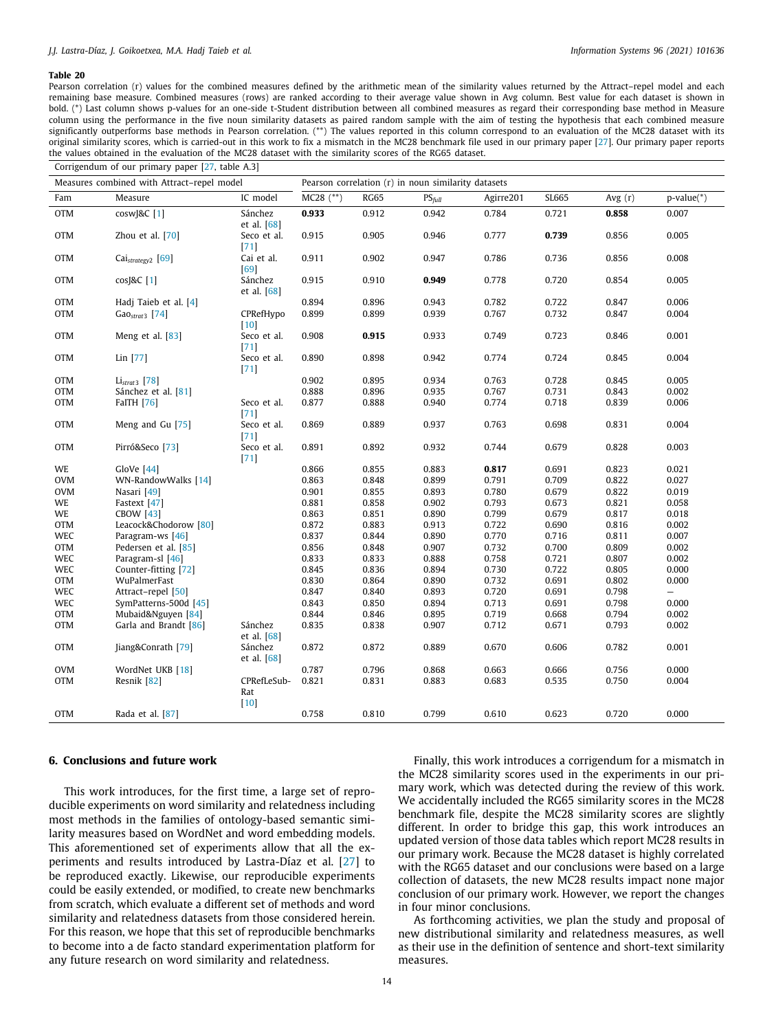Pearson correlation (r) values for the combined measures defined by the arithmetic mean of the similarity values returned by the Attract-repel model and each remaining base measure. Combined measures (rows) are ranked according to their average value shown in Avg column. Best value for each dataset is shown in bold. (\*) Last column shows p-values for an one-side t-Student distribution between all combined measures as regard their corresponding base method in Measure column using the performance in the five noun similarity datasets as paired random sample with the aim of testing the hypothesis that each combined measure significantly outperforms base methods in Pearson correlation. (\*\*) The values reported in this column correspond to an evaluation of the MC28 dataset with its original similarity scores, which is carried-out in this work to fix a mismatch in the MC28 benchmark file used in our primary paper [\[27](#page-15-15)]. Our primary paper reports the values obtained in the evaluation of the MC28 dataset with the similarity scores of the RG65 dataset.

<span id="page-13-0"></span>

|            | Corrigendum of our primary paper [27, table A.3] |                              |                                                     |             |           |           |       |           |                          |  |  |
|------------|--------------------------------------------------|------------------------------|-----------------------------------------------------|-------------|-----------|-----------|-------|-----------|--------------------------|--|--|
|            | Measures combined with Attract-repel model       |                              | Pearson correlation (r) in noun similarity datasets |             |           |           |       |           |                          |  |  |
| Fam        | Measure                                          | IC model                     | $MC28$ $(**)$                                       | <b>RG65</b> | $PS$ full | Agirre201 | SL665 | Avg $(r)$ | $p-value(*)$             |  |  |
| <b>OTM</b> | cosw[&C[1]                                       | Sánchez<br>et al. $[68]$     | 0.933                                               | 0.912       | 0.942     | 0.784     | 0.721 | 0.858     | 0.007                    |  |  |
| <b>OTM</b> | Zhou et al. [70]                                 | Seco et al.<br>[71]          | 0.915                                               | 0.905       | 0.946     | 0.777     | 0.739 | 0.856     | 0.005                    |  |  |
| <b>OTM</b> | Cai <sub>strategy2</sub> [69]                    | Cai et al.<br>[69]           | 0.911                                               | 0.902       | 0.947     | 0.786     | 0.736 | 0.856     | 0.008                    |  |  |
| <b>OTM</b> | cosJ&C [1]                                       | Sánchez<br>et al. [68]       | 0.915                                               | 0.910       | 0.949     | 0.778     | 0.720 | 0.854     | 0.005                    |  |  |
| <b>OTM</b> | Hadi Taieb et al. [4]                            |                              | 0.894                                               | 0.896       | 0.943     | 0.782     | 0.722 | 0.847     | 0.006                    |  |  |
| <b>OTM</b> | $GaOstrat3$ [74]                                 | CPRefHypo<br>$[10]$          | 0.899                                               | 0.899       | 0.939     | 0.767     | 0.732 | 0.847     | 0.004                    |  |  |
| <b>OTM</b> | Meng et al. [83]                                 | Seco et al.<br>$[71]$        | 0.908                                               | 0.915       | 0.933     | 0.749     | 0.723 | 0.846     | 0.001                    |  |  |
| <b>OTM</b> | Lin [77]                                         | Seco et al.<br>$[71]$        | 0.890                                               | 0.898       | 0.942     | 0.774     | 0.724 | 0.845     | 0.004                    |  |  |
| OTM        | $Listrat3$ [78]                                  |                              | 0.902                                               | 0.895       | 0.934     | 0.763     | 0.728 | 0.845     | 0.005                    |  |  |
| <b>OTM</b> | Sánchez et al. [81]                              |                              | 0.888                                               | 0.896       | 0.935     | 0.767     | 0.731 | 0.843     | 0.002                    |  |  |
| OTM        | <b>FaITH</b> [76]                                | Seco et al.<br>$[71]$        | 0.877                                               | 0.888       | 0.940     | 0.774     | 0.718 | 0.839     | 0.006                    |  |  |
| <b>OTM</b> | Meng and Gu [75]                                 | Seco et al.<br>$[71]$        | 0.869                                               | 0.889       | 0.937     | 0.763     | 0.698 | 0.831     | 0.004                    |  |  |
| <b>OTM</b> | Pirró&Seco [73]                                  | Seco et al.<br>$[71]$        | 0.891                                               | 0.892       | 0.932     | 0.744     | 0.679 | 0.828     | 0.003                    |  |  |
| WE         | GloVe [44]                                       |                              | 0.866                                               | 0.855       | 0.883     | 0.817     | 0.691 | 0.823     | 0.021                    |  |  |
| <b>OVM</b> | WN-RandowWalks [14]                              |                              | 0.863                                               | 0.848       | 0.899     | 0.791     | 0.709 | 0.822     | 0.027                    |  |  |
| <b>OVM</b> | Nasari [49]                                      |                              | 0.901                                               | 0.855       | 0.893     | 0.780     | 0.679 | 0.822     | 0.019                    |  |  |
| WE         | Fastext [47]                                     |                              | 0.881                                               | 0.858       | 0.902     | 0.793     | 0.673 | 0.821     | 0.058                    |  |  |
| WE         | <b>CBOW [43]</b>                                 |                              | 0.863                                               | 0.851       | 0.890     | 0.799     | 0.679 | 0.817     | 0.018                    |  |  |
| <b>OTM</b> | Leacock&Chodorow [80]                            |                              | 0.872                                               | 0.883       | 0.913     | 0.722     | 0.690 | 0.816     | 0.002                    |  |  |
| WEC        | Paragram-ws [46]                                 |                              | 0.837                                               | 0.844       | 0.890     | 0.770     | 0.716 | 0.811     | 0.007                    |  |  |
| <b>OTM</b> | Pedersen et al. [85]                             |                              | 0.856                                               | 0.848       | 0.907     | 0.732     | 0.700 | 0.809     | 0.002                    |  |  |
| WEC        | Paragram-sl [46]                                 |                              | 0.833                                               | 0.833       | 0.888     | 0.758     | 0.721 | 0.807     | 0.002                    |  |  |
| WEC        | Counter-fitting [72]                             |                              | 0.845                                               | 0.836       | 0.894     | 0.730     | 0.722 | 0.805     | 0.000                    |  |  |
| <b>OTM</b> | WuPalmerFast                                     |                              | 0.830                                               | 0.864       | 0.890     | 0.732     | 0.691 | 0.802     | 0.000                    |  |  |
| WEC        | Attract-repel [50]                               |                              | 0.847                                               | 0.840       | 0.893     | 0.720     | 0.691 | 0.798     | $\overline{\phantom{0}}$ |  |  |
| WEC        | SymPatterns-500d [45]                            |                              | 0.843                                               | 0.850       | 0.894     | 0.713     | 0.691 | 0.798     | 0.000                    |  |  |
| <b>OTM</b> | Mubaid&Nguyen [84]                               |                              | 0.844                                               | 0.846       | 0.895     | 0.719     | 0.668 | 0.794     | 0.002                    |  |  |
| <b>OTM</b> | Garla and Brandt [86]                            | Sánchez<br>et al. $[68]$     | 0.835                                               | 0.838       | 0.907     | 0.712     | 0.671 | 0.793     | 0.002                    |  |  |
| <b>OTM</b> | Jiang&Conrath [79]                               | Sánchez<br>et al. $[68]$     | 0.872                                               | 0.872       | 0.889     | 0.670     | 0.606 | 0.782     | 0.001                    |  |  |
| <b>OVM</b> | WordNet UKB [18]                                 |                              | 0.787                                               | 0.796       | 0.868     | 0.663     | 0.666 | 0.756     | 0.000                    |  |  |
| <b>OTM</b> | Resnik [82]                                      | CPRefLeSub-<br>Rat<br>$[10]$ | 0.821                                               | 0.831       | 0.883     | 0.683     | 0.535 | 0.750     | 0.004                    |  |  |
| <b>OTM</b> | Rada et al. [87]                                 |                              | 0.758                                               | 0.810       | 0.799     | 0.610     | 0.623 | 0.720     | 0.000                    |  |  |

# **6. Conclusions and future work**

This work introduces, for the first time, a large set of reproducible experiments on word similarity and relatedness including most methods in the families of ontology-based semantic similarity measures based on WordNet and word embedding models. This aforementioned set of experiments allow that all the experiments and results introduced by Lastra-Díaz et al. [\[27\]](#page-15-15) to be reproduced exactly. Likewise, our reproducible experiments could be easily extended, or modified, to create new benchmarks from scratch, which evaluate a different set of methods and word similarity and relatedness datasets from those considered herein. For this reason, we hope that this set of reproducible benchmarks to become into a de facto standard experimentation platform for any future research on word similarity and relatedness.

Finally, this work introduces a corrigendum for a mismatch in the MC28 similarity scores used in the experiments in our primary work, which was detected during the review of this work. We accidentally included the RG65 similarity scores in the MC28 benchmark file, despite the MC28 similarity scores are slightly different. In order to bridge this gap, this work introduces an updated version of those data tables which report MC28 results in our primary work. Because the MC28 dataset is highly correlated with the RG65 dataset and our conclusions were based on a large collection of datasets, the new MC28 results impact none major conclusion of our primary work. However, we report the changes in four minor conclusions.

As forthcoming activities, we plan the study and proposal of new distributional similarity and relatedness measures, as well as their use in the definition of sentence and short-text similarity measures.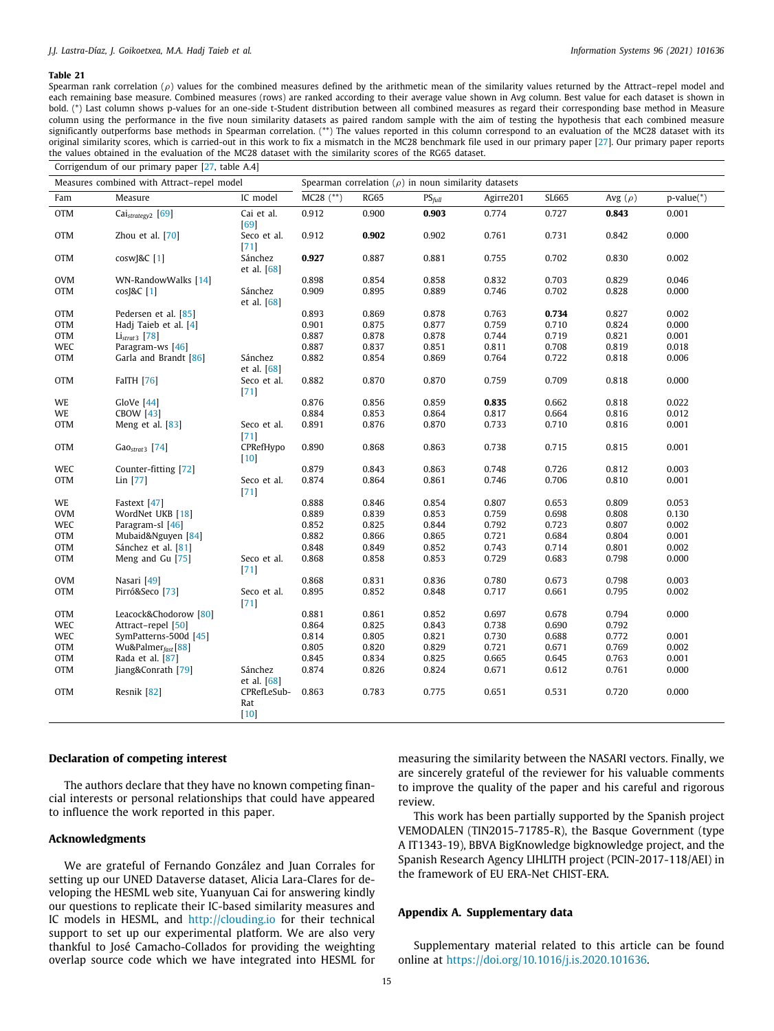Spearman rank correlation ( $\rho$ ) values for the combined measures defined by the arithmetic mean of the similarity values returned by the Attract–repel model and each remaining base measure. Combined measures (rows) are ranked according to their average value shown in Avg column. Best value for each dataset is shown in bold. (\*) Last column shows p-values for an one-side t-Student distribution between all combined measures as regard their corresponding base method in Measure column using the performance in the five noun similarity datasets as paired random sample with the aim of testing the hypothesis that each combined measure significantly outperforms base methods in Spearman correlation. (\*\*) The values reported in this column correspond to an evaluation of the MC28 dataset with its original similarity scores, which is carried-out in this work to fix a mismatch in the MC28 benchmark file used in our primary paper [\[27](#page-15-15)]. Our primary paper reports the values obtained in the evaluation of the MC28 dataset with the similarity scores of the RG65 dataset.

<span id="page-14-0"></span>

|            | Corrigendum of our primary paper [27, table A.4] |                              |                                                           |             |             |           |       |              |              |
|------------|--------------------------------------------------|------------------------------|-----------------------------------------------------------|-------------|-------------|-----------|-------|--------------|--------------|
|            | Measures combined with Attract-repel model       |                              | Spearman correlation $(\rho)$ in noun similarity datasets |             |             |           |       |              |              |
| Fam        | Measure                                          | IC model                     | $MC28$ $(**)$                                             | <b>RG65</b> | $PS_{full}$ | Agirre201 | SL665 | Avg $(\rho)$ | $p-value(*)$ |
| <b>OTM</b> | Cai <sub>strategy2</sub> [69]                    | Cai et al.<br>[69]           | 0.912                                                     | 0.900       | 0.903       | 0.774     | 0.727 | 0.843        | 0.001        |
| <b>OTM</b> | Zhou et al. $[70]$                               | Seco et al.<br>$[71]$        | 0.912                                                     | 0.902       | 0.902       | 0.761     | 0.731 | 0.842        | 0.000        |
| <b>OTM</b> | $cosw$ J&C $[1]$                                 | Sánchez<br>et al. [68]       | 0.927                                                     | 0.887       | 0.881       | 0.755     | 0.702 | 0.830        | 0.002        |
| <b>OVM</b> | WN-RandowWalks [14]                              |                              | 0.898                                                     | 0.854       | 0.858       | 0.832     | 0.703 | 0.829        | 0.046        |
| OTM        | cos[&C[1]                                        | Sánchez<br>et al. [68]       | 0.909                                                     | 0.895       | 0.889       | 0.746     | 0.702 | 0.828        | 0.000        |
| <b>OTM</b> | Pedersen et al. [85]                             |                              | 0.893                                                     | 0.869       | 0.878       | 0.763     | 0.734 | 0.827        | 0.002        |
| <b>OTM</b> | Hadj Taieb et al. [4]                            |                              | 0.901                                                     | 0.875       | 0.877       | 0.759     | 0.710 | 0.824        | 0.000        |
| <b>OTM</b> | $Listrat3$ [78]                                  |                              | 0.887                                                     | 0.878       | 0.878       | 0.744     | 0.719 | 0.821        | 0.001        |
| WEC        | Paragram-ws [46]                                 |                              | 0.887                                                     | 0.837       | 0.851       | 0.811     | 0.708 | 0.819        | 0.018        |
| OTM        | Garla and Brandt [86]                            | Sánchez<br>et al. $[68]$     | 0.882                                                     | 0.854       | 0.869       | 0.764     | 0.722 | 0.818        | 0.006        |
| <b>OTM</b> | <b>FaITH</b> [76]                                | Seco et al.<br>$[71]$        | 0.882                                                     | 0.870       | 0.870       | 0.759     | 0.709 | 0.818        | 0.000        |
| WE         | GloVe [44]                                       |                              | 0.876                                                     | 0.856       | 0.859       | 0.835     | 0.662 | 0.818        | 0.022        |
| WE         | <b>CBOW</b> [43]                                 |                              | 0.884                                                     | 0.853       | 0.864       | 0.817     | 0.664 | 0.816        | 0.012        |
| OTM        | Meng et al. [83]                                 | Seco et al.<br>[71]          | 0.891                                                     | 0.876       | 0.870       | 0.733     | 0.710 | 0.816        | 0.001        |
| <b>OTM</b> | $GaOstrat3$ [74]                                 | CPRefHypo<br>$[10]$          | 0.890                                                     | 0.868       | 0.863       | 0.738     | 0.715 | 0.815        | 0.001        |
| WEC        | Counter-fitting [72]                             |                              | 0.879                                                     | 0.843       | 0.863       | 0.748     | 0.726 | 0.812        | 0.003        |
| OTM        | Lin [77]                                         | Seco et al.<br>$[71]$        | 0.874                                                     | 0.864       | 0.861       | 0.746     | 0.706 | 0.810        | 0.001        |
| WE         | Fastext [47]                                     |                              | 0.888                                                     | 0.846       | 0.854       | 0.807     | 0.653 | 0.809        | 0.053        |
| OVM        | WordNet UKB [18]                                 |                              | 0.889                                                     | 0.839       | 0.853       | 0.759     | 0.698 | 0.808        | 0.130        |
| WEC        | Paragram-sl [46]                                 |                              | 0.852                                                     | 0.825       | 0.844       | 0.792     | 0.723 | 0.807        | 0.002        |
| OTM        | Mubaid&Nguyen [84]                               |                              | 0.882                                                     | 0.866       | 0.865       | 0.721     | 0.684 | 0.804        | 0.001        |
| OTM        | Sánchez et al. [81]                              |                              | 0.848                                                     | 0.849       | 0.852       | 0.743     | 0.714 | 0.801        | 0.002        |
| <b>OTM</b> | Meng and Gu [75]                                 | Seco et al.<br>$[71]$        | 0.868                                                     | 0.858       | 0.853       | 0.729     | 0.683 | 0.798        | 0.000        |
| <b>OVM</b> | Nasari [49]                                      |                              | 0.868                                                     | 0.831       | 0.836       | 0.780     | 0.673 | 0.798        | 0.003        |
| <b>OTM</b> | Pirró&Seco <sup>[73]</sup>                       | Seco et al.<br>[71]          | 0.895                                                     | 0.852       | 0.848       | 0.717     | 0.661 | 0.795        | 0.002        |
| <b>OTM</b> | Leacock&Chodorow [80]                            |                              | 0.881                                                     | 0.861       | 0.852       | 0.697     | 0.678 | 0.794        | 0.000        |
| WEC        | Attract-repel [50]                               |                              | 0.864                                                     | 0.825       | 0.843       | 0.738     | 0.690 | 0.792        |              |
| WEC        | SymPatterns-500d [45]                            |                              | 0.814                                                     | 0.805       | 0.821       | 0.730     | 0.688 | 0.772        | 0.001        |
| <b>OTM</b> | Wu&Palmer <sub>fast</sub> [88]                   |                              | 0.805                                                     | 0.820       | 0.829       | 0.721     | 0.671 | 0.769        | 0.002        |
| <b>OTM</b> | Rada et al. [87]                                 |                              | 0.845                                                     | 0.834       | 0.825       | 0.665     | 0.645 | 0.763        | 0.001        |
| <b>OTM</b> | Jiang&Conrath [79]                               | Sánchez<br>et al. $[68]$     | 0.874                                                     | 0.826       | 0.824       | 0.671     | 0.612 | 0.761        | 0.000        |
| <b>OTM</b> | Resnik [82]                                      | CPRefLeSub-<br>Rat<br>$[10]$ | 0.863                                                     | 0.783       | 0.775       | 0.651     | 0.531 | 0.720        | 0.000        |

# **Declaration of competing interest**

The authors declare that they have no known competing financial interests or personal relationships that could have appeared to influence the work reported in this paper.

# **Acknowledgments**

We are grateful of Fernando González and Juan Corrales for setting up our UNED Dataverse dataset, Alicia Lara-Clares for developing the HESML web site, Yuanyuan Cai for answering kindly our questions to replicate their IC-based similarity measures and IC models in HESML, and <http://clouding.io> for their technical support to set up our experimental platform. We are also very thankful to José Camacho-Collados for providing the weighting overlap source code which we have integrated into HESML for

measuring the similarity between the NASARI vectors. Finally, we are sincerely grateful of the reviewer for his valuable comments to improve the quality of the paper and his careful and rigorous review.

This work has been partially supported by the Spanish project VEMODALEN (TIN2015-71785-R), the Basque Government (type A IT1343-19), BBVA BigKnowledge bigknowledge project, and the Spanish Research Agency LIHLITH project (PCIN-2017-118/AEI) in the framework of EU ERA-Net CHIST-ERA.

#### **Appendix A. Supplementary data**

Supplementary material related to this article can be found online at [https://doi.org/10.1016/j.is.2020.101636.](https://doi.org/10.1016/j.is.2020.101636)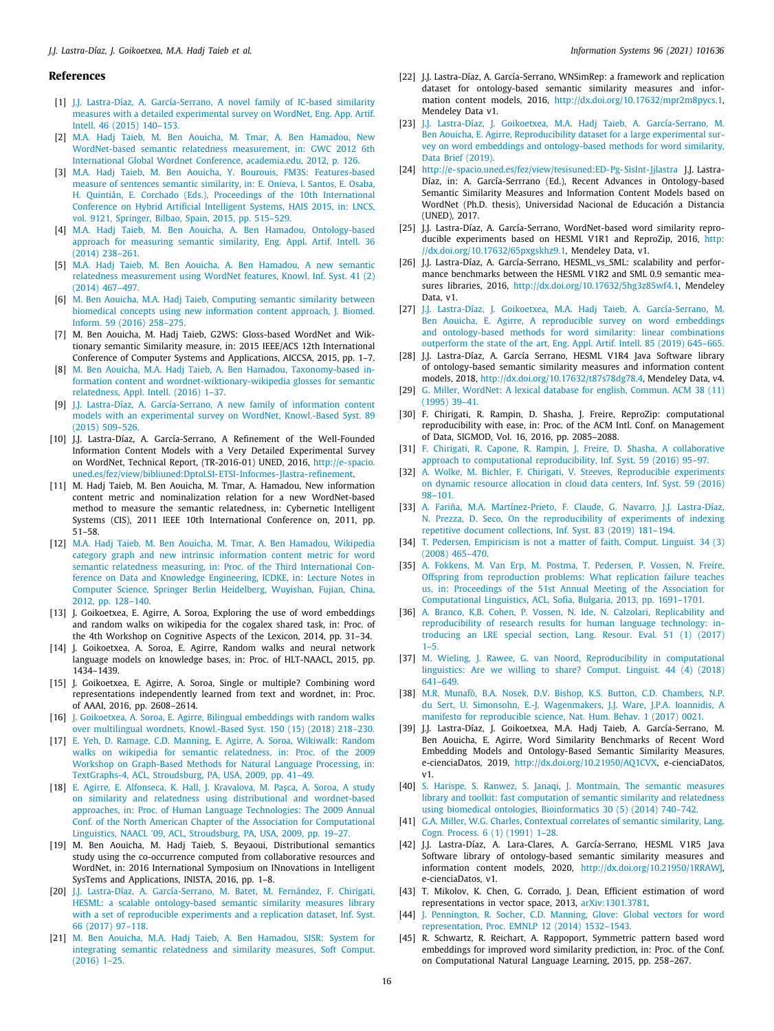# **References**

- <span id="page-15-0"></span>[1] [J.J. Lastra-Díaz, A. García-Serrano, A novel family of IC-based similarity](http://refhub.elsevier.com/S0306-4379(20)30105-8/sb1) [measures with a detailed experimental survey on WordNet, Eng. App. Artif.](http://refhub.elsevier.com/S0306-4379(20)30105-8/sb1) [Intell. 46 \(2015\) 140–153.](http://refhub.elsevier.com/S0306-4379(20)30105-8/sb1)
- [2] [M.A. Hadj Taieb, M. Ben Aouicha, M. Tmar, A. Ben Hamadou, New](http://refhub.elsevier.com/S0306-4379(20)30105-8/sb2) [WordNet-based semantic relatedness measurement, in: GWC 2012 6th](http://refhub.elsevier.com/S0306-4379(20)30105-8/sb2) [International Global Wordnet Conference, academia.edu, 2012, p. 126.](http://refhub.elsevier.com/S0306-4379(20)30105-8/sb2)
- [3] [M.A. Hadj Taieb, M. Ben Aouicha, Y. Bourouis, FM3S: Features-based](http://refhub.elsevier.com/S0306-4379(20)30105-8/sb3) [measure of sentences semantic similarity, in: E. Onieva, I. Santos, E. Osaba,](http://refhub.elsevier.com/S0306-4379(20)30105-8/sb3) [H. Quintián, E. Corchado \(Eds.\), Proceedings of the 10th International](http://refhub.elsevier.com/S0306-4379(20)30105-8/sb3) [Conference on Hybrid Artificial Intelligent Systems, HAIS 2015, in: LNCS,](http://refhub.elsevier.com/S0306-4379(20)30105-8/sb3) [vol. 9121, Springer, Bilbao, Spain, 2015, pp. 515–529.](http://refhub.elsevier.com/S0306-4379(20)30105-8/sb3)
- <span id="page-15-37"></span>[4] [M.A. Hadj Taieb, M. Ben Aouicha, A. Ben Hamadou, Ontology-based](http://refhub.elsevier.com/S0306-4379(20)30105-8/sb4) [approach for measuring semantic similarity, Eng. Appl. Artif. Intell. 36](http://refhub.elsevier.com/S0306-4379(20)30105-8/sb4) [\(2014\) 238–261.](http://refhub.elsevier.com/S0306-4379(20)30105-8/sb4)
- [5] [M.A. Hadj Taieb, M. Ben Aouicha, A. Ben Hamadou, A new semantic](http://refhub.elsevier.com/S0306-4379(20)30105-8/sb5) [relatedness measurement using WordNet features, Knowl. Inf. Syst. 41 \(2\)](http://refhub.elsevier.com/S0306-4379(20)30105-8/sb5) [\(2014\) 467–497.](http://refhub.elsevier.com/S0306-4379(20)30105-8/sb5)
- [6] [M. Ben Aouicha, M.A. Hadj Taieb, Computing semantic similarity between](http://refhub.elsevier.com/S0306-4379(20)30105-8/sb6) [biomedical concepts using new information content approach, J. Biomed.](http://refhub.elsevier.com/S0306-4379(20)30105-8/sb6) [Inform. 59 \(2016\) 258–275.](http://refhub.elsevier.com/S0306-4379(20)30105-8/sb6)
- [7] M. Ben Aouicha, M. Hadj Taieb, G2WS: Gloss-based WordNet and Wiktionary semantic Similarity measure, in: 2015 IEEE/ACS 12th International Conference of Computer Systems and Applications, AICCSA, 2015, pp. 1–7.
- <span id="page-15-1"></span>[8] [M. Ben Aouicha, M.A. Hadj Taieb, A. Ben Hamadou, Taxonomy-based in](http://refhub.elsevier.com/S0306-4379(20)30105-8/sb8)[formation content and wordnet-wiktionary-wikipedia glosses for semantic](http://refhub.elsevier.com/S0306-4379(20)30105-8/sb8) [relatedness, Appl. Intell. \(2016\) 1–37.](http://refhub.elsevier.com/S0306-4379(20)30105-8/sb8)
- <span id="page-15-19"></span>[9] [J.J. Lastra-Díaz, A. García-Serrano, A new family of information content](http://refhub.elsevier.com/S0306-4379(20)30105-8/sb9) [models with an experimental survey on WordNet, Knowl.-Based Syst. 89](http://refhub.elsevier.com/S0306-4379(20)30105-8/sb9) [\(2015\) 509–526.](http://refhub.elsevier.com/S0306-4379(20)30105-8/sb9)
- <span id="page-15-20"></span>[10] J.J. Lastra-Díaz, A. García-Serrano, A Refinement of the Well-Founded Information Content Models with a Very Detailed Experimental Survey on WordNet, Technical Report, (TR-2016-01) UNED, 2016, [http://e-spacio.](http://e-spacio.uned.es/fez/view/bibliuned:DptoLSI-ETSI-Informes-Jlastra-refinement) [uned.es/fez/view/bibliuned:DptoLSI-ETSI-Informes-Jlastra-refinement.](http://e-spacio.uned.es/fez/view/bibliuned:DptoLSI-ETSI-Informes-Jlastra-refinement)
- [11] M. Hadj Taieb, M. Ben Aouicha, M. Tmar, A. Hamadou, New information content metric and nominalization relation for a new WordNet-based method to measure the semantic relatedness, in: Cybernetic Intelligent Systems (CIS), 2011 IEEE 10th International Conference on, 2011, pp. 51–58.
- <span id="page-15-2"></span>[12] [M.A. Hadj Taieb, M. Ben Aouicha, M. Tmar, A. Ben Hamadou, Wikipedia](http://refhub.elsevier.com/S0306-4379(20)30105-8/sb12) [category graph and new intrinsic information content metric for word](http://refhub.elsevier.com/S0306-4379(20)30105-8/sb12) [semantic relatedness measuring, in: Proc. of the Third International Con](http://refhub.elsevier.com/S0306-4379(20)30105-8/sb12)[ference on Data and Knowledge Engineering, ICDKE, in: Lecture Notes in](http://refhub.elsevier.com/S0306-4379(20)30105-8/sb12) [Computer Science, Springer Berlin Heidelberg, Wuyishan, Fujian, China,](http://refhub.elsevier.com/S0306-4379(20)30105-8/sb12) [2012, pp. 128–140.](http://refhub.elsevier.com/S0306-4379(20)30105-8/sb12)
- <span id="page-15-3"></span>[13] J. Goikoetxea, E. Agirre, A. Soroa, Exploring the use of word embeddings and random walks on wikipedia for the cogalex shared task, in: Proc. of the 4th Workshop on Cognitive Aspects of the Lexicon, 2014, pp. 31–34.
- <span id="page-15-35"></span>[14] J. Goikoetxea, A. Soroa, E. Agirre, Random walks and neural network language models on knowledge bases, in: Proc. of HLT-NAACL, 2015, pp. 1434–1439.
- [15] J. Goikoetxea, E. Agirre, A. Soroa, Single or multiple? Combining word representations independently learned from text and wordnet, in: Proc. of AAAI, 2016, pp. 2608–2614.
- <span id="page-15-4"></span>[16] [J. Goikoetxea, A. Soroa, E. Agirre, Bilingual embeddings with random walks](http://refhub.elsevier.com/S0306-4379(20)30105-8/sb16) [over multilingual wordnets, Knowl.-Based Syst. 150 \(15\) \(2018\) 218–230.](http://refhub.elsevier.com/S0306-4379(20)30105-8/sb16)
- <span id="page-15-5"></span>[17] [E. Yeh, D. Ramage, C.D. Manning, E. Agirre, A. Soroa, Wikiwalk: Random](http://refhub.elsevier.com/S0306-4379(20)30105-8/sb17) [walks on wikipedia for semantic relatedness, in: Proc. of the 2009](http://refhub.elsevier.com/S0306-4379(20)30105-8/sb17) [Workshop on Graph-Based Methods for Natural Language Processing, in:](http://refhub.elsevier.com/S0306-4379(20)30105-8/sb17) [TextGraphs-4, ACL, Stroudsburg, PA, USA, 2009, pp. 41–49.](http://refhub.elsevier.com/S0306-4379(20)30105-8/sb17)
- <span id="page-15-11"></span>[18] [E. Agirre, E. Alfonseca, K. Hall, J. Kravalova, M. Paşca, A. Soroa, A study](http://refhub.elsevier.com/S0306-4379(20)30105-8/sb18) [on similarity and relatedness using distributional and wordnet-based](http://refhub.elsevier.com/S0306-4379(20)30105-8/sb18) [approaches, in: Proc. of Human Language Technologies: The 2009 Annual](http://refhub.elsevier.com/S0306-4379(20)30105-8/sb18) [Conf. of the North American Chapter of the Association for Computational](http://refhub.elsevier.com/S0306-4379(20)30105-8/sb18) [Linguistics, NAACL '09, ACL, Stroudsburg, PA, USA, 2009, pp. 19–27.](http://refhub.elsevier.com/S0306-4379(20)30105-8/sb18)
- <span id="page-15-6"></span>[19] M. Ben Aouicha, M. Hadj Taieb, S. Beyaoui, Distributional semantics study using the co-occurrence computed from collaborative resources and WordNet, in: 2016 International Symposium on INnovations in Intelligent SysTems and Applications, INISTA, 2016, pp. 1–8.
- <span id="page-15-7"></span>[20] [J.J. Lastra-Díaz, A. García-Serrano, M. Batet, M. Fernández, F. Chirigati,](http://refhub.elsevier.com/S0306-4379(20)30105-8/sb20) [HESML: a scalable ontology-based semantic similarity measures library](http://refhub.elsevier.com/S0306-4379(20)30105-8/sb20) [with a set of reproducible experiments and a replication dataset, Inf. Syst.](http://refhub.elsevier.com/S0306-4379(20)30105-8/sb20) [66 \(2017\) 97–118.](http://refhub.elsevier.com/S0306-4379(20)30105-8/sb20)
- <span id="page-15-8"></span>[21] [M. Ben Aouicha, M.A. Hadj Taieb, A. Ben Hamadou, SISR: System for](http://refhub.elsevier.com/S0306-4379(20)30105-8/sb21) [integrating semantic relatedness and similarity measures, Soft Comput.](http://refhub.elsevier.com/S0306-4379(20)30105-8/sb21) [\(2016\) 1–25.](http://refhub.elsevier.com/S0306-4379(20)30105-8/sb21)
- <span id="page-15-9"></span>[22] J.J. Lastra-Díaz, A. García-Serrano, WNSimRep: a framework and replication dataset for ontology-based semantic similarity measures and information content models, 2016, <http://dx.doi.org/10.17632/mpr2m8pycs.1>, Mendeley Data v1.
- <span id="page-15-10"></span>[23] [J.J. Lastra-Díaz, J. Goikoetxea, M.A. Hadj Taieb, A. García-Serrano, M.](http://refhub.elsevier.com/S0306-4379(20)30105-8/sb23) [Ben Aouicha, E. Agirre, Reproducibility dataset for a large experimental sur](http://refhub.elsevier.com/S0306-4379(20)30105-8/sb23)[vey on word embeddings and ontology-based methods for word similarity,](http://refhub.elsevier.com/S0306-4379(20)30105-8/sb23) [Data Brief \(2019\).](http://refhub.elsevier.com/S0306-4379(20)30105-8/sb23)
- <span id="page-15-12"></span>[24] <http://e-spacio.uned.es/fez/view/tesisuned:ED-Pg-SisInt-Jjlastra> J.J. Lastra-Díaz, in: A. García-Serrrano (Ed.), Recent Advances in Ontology-based Semantic Similarity Measures and Information Content Models based on WordNet (Ph.D. thesis), Universidad Nacional de Educación a Distancia (UNED), 2017.
- <span id="page-15-13"></span>[25] J.J. Lastra-Díaz, A. García-Serrano, WordNet-based word similarity reproducible experiments based on HESML V1R1 and ReproZip, 2016, [http:](http://dx.doi.org/10.17632/65pxgskhz9.1) [//dx.doi.org/10.17632/65pxgskhz9.1](http://dx.doi.org/10.17632/65pxgskhz9.1), Mendeley Data, v1.
- <span id="page-15-14"></span>[26] J.J. Lastra-Díaz, A. García-Serrano, HESML\_vs\_SML: scalability and performance benchmarks between the HESML V1R2 and SML 0.9 semantic measures libraries, 2016, <http://dx.doi.org/10.17632/5hg3z85wf4.1>, Mendeley Data, v1.
- <span id="page-15-15"></span>[27] [J.J. Lastra-Díaz, J. Goikoetxea, M.A. Hadj Taieb, A. García-Serrano, M.](http://refhub.elsevier.com/S0306-4379(20)30105-8/sb27) [Ben Aouicha, E. Agirre, A reproducible survey on word embeddings](http://refhub.elsevier.com/S0306-4379(20)30105-8/sb27) [and ontology-based methods for word similarity: linear combinations](http://refhub.elsevier.com/S0306-4379(20)30105-8/sb27) [outperform the state of the art, Eng. Appl. Artif. Intell. 85 \(2019\) 645–665.](http://refhub.elsevier.com/S0306-4379(20)30105-8/sb27)
- <span id="page-15-16"></span>[28] J.J. Lastra-Díaz, A. García Serrano, HESML V1R4 Java Software library of ontology-based semantic similarity measures and information content models, 2018, [http://dx.doi.org/10.17632/t87s78dg78.4,](http://dx.doi.org/10.17632/t87s78dg78.4) Mendeley Data, v4.
- <span id="page-15-17"></span>[29] [G. Miller, WordNet: A lexical database for english, Commun. ACM 38 \(11\)](http://refhub.elsevier.com/S0306-4379(20)30105-8/sb29) [\(1995\) 39–41.](http://refhub.elsevier.com/S0306-4379(20)30105-8/sb29)
- <span id="page-15-18"></span>[30] F. Chirigati, R. Rampin, D. Shasha, J. Freire, ReproZip: computational reproducibility with ease, in: Proc. of the ACM Intl. Conf. on Management of Data, SIGMOD, Vol. 16, 2016, pp. 2085–2088.
- <span id="page-15-21"></span>[31] [F. Chirigati, R. Capone, R. Rampin, J. Freire, D. Shasha, A collaborative](http://refhub.elsevier.com/S0306-4379(20)30105-8/sb31) [approach to computational reproducibility, Inf. Syst. 59 \(2016\) 95–97.](http://refhub.elsevier.com/S0306-4379(20)30105-8/sb31)
- <span id="page-15-22"></span>[32] [A. Wolke, M. Bichler, F. Chirigati, V. Steeves, Reproducible experiments](http://refhub.elsevier.com/S0306-4379(20)30105-8/sb32) [on dynamic resource allocation in cloud data centers, Inf. Syst. 59 \(2016\)](http://refhub.elsevier.com/S0306-4379(20)30105-8/sb32) [98–101.](http://refhub.elsevier.com/S0306-4379(20)30105-8/sb32)
- <span id="page-15-23"></span>[33] [A. Fariña, M.A. Martínez-Prieto, F. Claude, G. Navarro, J.J. Lastra-Díaz,](http://refhub.elsevier.com/S0306-4379(20)30105-8/sb33) [N. Prezza, D. Seco, On the reproducibility of experiments of indexing](http://refhub.elsevier.com/S0306-4379(20)30105-8/sb33) [repetitive document collections, Inf. Syst. 83 \(2019\) 181–194.](http://refhub.elsevier.com/S0306-4379(20)30105-8/sb33)
- <span id="page-15-24"></span>[34] [T. Pedersen, Empiricism is not a matter of faith, Comput. Linguist. 34 \(3\)](http://refhub.elsevier.com/S0306-4379(20)30105-8/sb34) [\(2008\) 465–470.](http://refhub.elsevier.com/S0306-4379(20)30105-8/sb34)
- <span id="page-15-25"></span>[35] [A. Fokkens, M. Van Erp, M. Postma, T. Pedersen, P. Vossen, N. Freire,](http://refhub.elsevier.com/S0306-4379(20)30105-8/sb35) [Offspring from reproduction problems: What replication failure teaches](http://refhub.elsevier.com/S0306-4379(20)30105-8/sb35) [us, in: Proceedings of the 51st Annual Meeting of the Association for](http://refhub.elsevier.com/S0306-4379(20)30105-8/sb35) [Computational Linguistics, ACL, Sofia, Bulgaria, 2013, pp. 1691–1701.](http://refhub.elsevier.com/S0306-4379(20)30105-8/sb35)
- <span id="page-15-26"></span>[36] [A. Branco, K.B. Cohen, P. Vossen, N. Ide, N. Calzolari, Replicability and](http://refhub.elsevier.com/S0306-4379(20)30105-8/sb36) [reproducibility of research results for human language technology: in](http://refhub.elsevier.com/S0306-4379(20)30105-8/sb36)[troducing an LRE special section, Lang. Resour. Eval. 51 \(1\) \(2017\)](http://refhub.elsevier.com/S0306-4379(20)30105-8/sb36) [1–5.](http://refhub.elsevier.com/S0306-4379(20)30105-8/sb36)
- <span id="page-15-27"></span>[37] [M. Wieling, J. Rawee, G. van Noord, Reproducibility in computational](http://refhub.elsevier.com/S0306-4379(20)30105-8/sb37) [linguistics: Are we willing to share? Comput. Linguist. 44 \(4\) \(2018\)](http://refhub.elsevier.com/S0306-4379(20)30105-8/sb37) [641–649.](http://refhub.elsevier.com/S0306-4379(20)30105-8/sb37)
- <span id="page-15-28"></span>[38] [M.R. Munafò, B.A. Nosek, D.V. Bishop, K.S. Button, C.D. Chambers, N.P.](http://refhub.elsevier.com/S0306-4379(20)30105-8/sb38) [du Sert, U. Simonsohn, E.-J. Wagenmakers, J.J. Ware, J.P.A. Ioannidis, A](http://refhub.elsevier.com/S0306-4379(20)30105-8/sb38) [manifesto for reproducible science, Nat. Hum. Behav. 1 \(2017\) 0021.](http://refhub.elsevier.com/S0306-4379(20)30105-8/sb38)
- <span id="page-15-29"></span>[39] J.J. Lastra-Díaz, J. Goikoetxea, M.A. Hadj Taieb, A. García-Serrano, M. Ben Aouicha, E. Agirre, Word Similarity Benchmarks of Recent Word Embedding Models and Ontology-Based Semantic Similarity Measures, e-cienciaDatos, 2019, [http://dx.doi.org/10.21950/AQ1CVX,](http://dx.doi.org/10.21950/AQ1CVX) e-cienciaDatos, v1.
- <span id="page-15-30"></span>[40] [S. Harispe, S. Ranwez, S. Janaqi, J. Montmain, The semantic measures](http://refhub.elsevier.com/S0306-4379(20)30105-8/sb40) [library and toolkit: fast computation of semantic similarity and relatedness](http://refhub.elsevier.com/S0306-4379(20)30105-8/sb40) [using biomedical ontologies, Bioinformatics 30 \(5\) \(2014\) 740–742.](http://refhub.elsevier.com/S0306-4379(20)30105-8/sb40)
- <span id="page-15-31"></span>[41] [G.A. Miller, W.G. Charles, Contextual correlates of semantic similarity, Lang.](http://refhub.elsevier.com/S0306-4379(20)30105-8/sb41) [Cogn. Process. 6 \(1\) \(1991\) 1–28.](http://refhub.elsevier.com/S0306-4379(20)30105-8/sb41)
- <span id="page-15-36"></span>[42] J.J. Lastra-Díaz, A. Lara-Clares, A. García-Serrano, HESML V1R5 Java Software library of ontology-based semantic similarity measures and information content models, 2020, <http://dx.doi.org/10.21950/1RRAWJ>, e-cienciaDatos, v1.
- <span id="page-15-32"></span>[43] T. Mikolov, K. Chen, G. Corrado, J. Dean, Efficient estimation of word representations in vector space, 2013, [arXiv:1301.3781](http://arxiv.org/abs/1301.3781).
- <span id="page-15-33"></span>[44] [J. Pennington, R. Socher, C.D. Manning, Glove: Global vectors for word](http://refhub.elsevier.com/S0306-4379(20)30105-8/sb44) [representation, Proc. EMNLP 12 \(2014\) 1532–1543.](http://refhub.elsevier.com/S0306-4379(20)30105-8/sb44)
- <span id="page-15-34"></span>[45] R. Schwartz, R. Reichart, A. Rappoport, Symmetric pattern based word embeddings for improved word similarity prediction, in: Proc. of the Conf. on Computational Natural Language Learning, 2015, pp. 258–267.